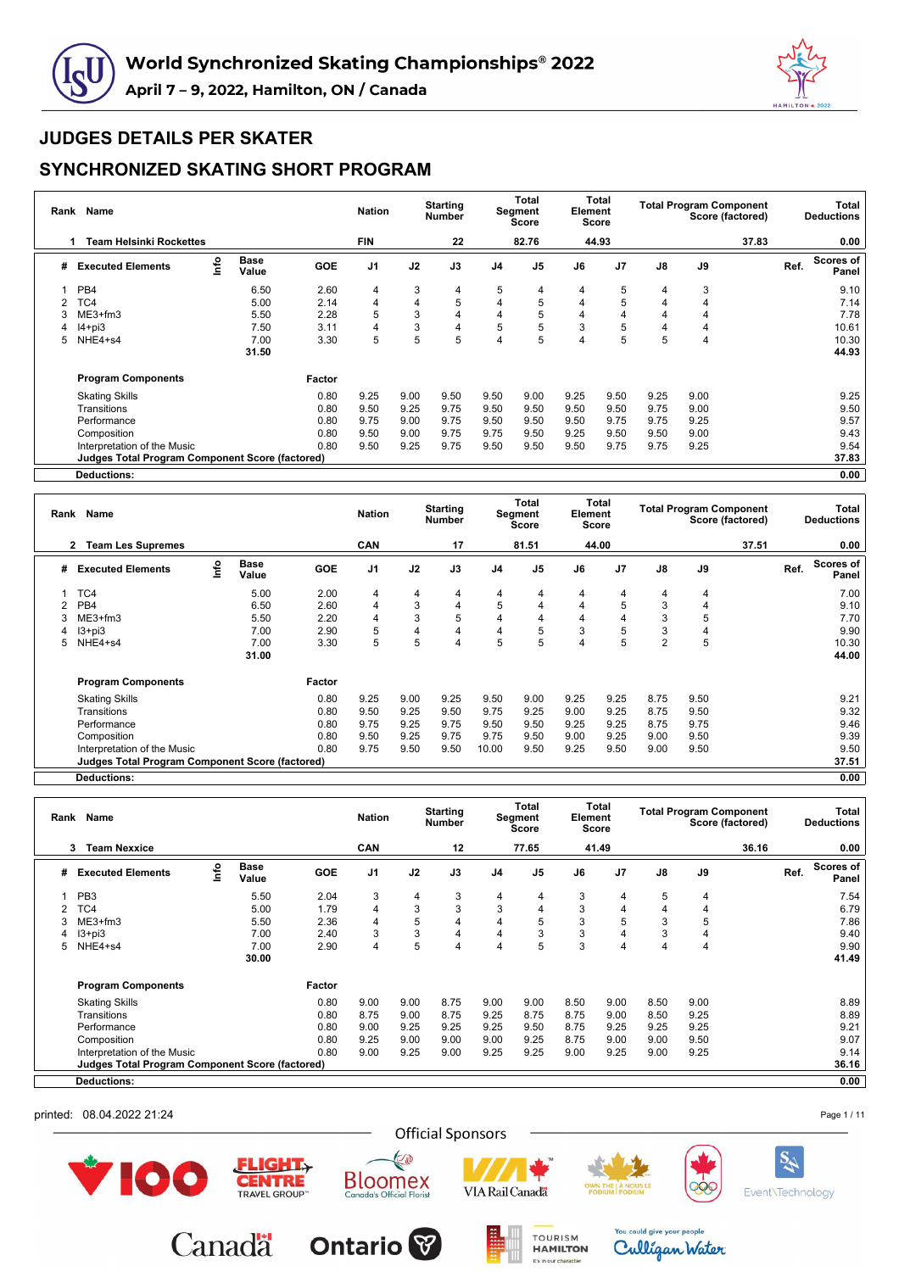



### **SYNCHRONIZED SKATING SHORT PROGRAM**

| Rank | Name                                                   |      |                      |            | <b>Nation</b>  |      | <b>Starting</b><br><b>Number</b> |                | Total<br>Segment<br><b>Score</b> | Element        | Total<br>Score |               | <b>Total Program Component</b> | Score (factored) |      | Total<br><b>Deductions</b> |
|------|--------------------------------------------------------|------|----------------------|------------|----------------|------|----------------------------------|----------------|----------------------------------|----------------|----------------|---------------|--------------------------------|------------------|------|----------------------------|
|      | Team Helsinki Rockettes                                |      |                      |            | <b>FIN</b>     |      | 22                               |                | 82.76                            |                | 44.93          |               |                                | 37.83            |      | 0.00                       |
| #    | <b>Executed Elements</b>                               | Info | <b>Base</b><br>Value | <b>GOE</b> | J <sub>1</sub> | J2   | J3                               | J <sub>4</sub> | J <sub>5</sub>                   | J6             | J <sub>7</sub> | $\mathsf{J}8$ | J9                             |                  | Ref. | Scores of<br>Panel         |
|      | PB <sub>4</sub>                                        |      | 6.50                 | 2.60       | 4              | 3    | 4                                | 5              | 4                                | 4              | 5              | 4             | 3                              |                  |      | 9.10                       |
|      | TC4                                                    |      | 5.00                 | 2.14       | 4              | 4    | 5                                | 4              | 5                                | 4              | 5              | 4             | 4                              |                  |      | 7.14                       |
| 3    | ME3+fm3                                                |      | 5.50                 | 2.28       | 5              | 3    | 4                                | 4              | 5                                | $\overline{4}$ | 4              | 4             | 4                              |                  |      | 7.78                       |
| 4    | $I4 + pi3$                                             |      | 7.50                 | 3.11       | 4              | 3    | 4                                | 5              | 5                                | 3              | 5              | 4             | 4                              |                  |      | 10.61                      |
| 5    | NHE4+s4                                                |      | 7.00                 | 3.30       | 5              | 5    | 5                                | $\overline{4}$ | 5                                |                | 5              | 5             | 4                              |                  |      | 10.30                      |
|      |                                                        |      | 31.50                |            |                |      |                                  |                |                                  |                |                |               |                                |                  |      | 44.93                      |
|      | <b>Program Components</b>                              |      |                      | Factor     |                |      |                                  |                |                                  |                |                |               |                                |                  |      |                            |
|      | <b>Skating Skills</b>                                  |      |                      | 0.80       | 9.25           | 9.00 | 9.50                             | 9.50           | 9.00                             | 9.25           | 9.50           | 9.25          | 9.00                           |                  |      | 9.25                       |
|      | Transitions                                            |      |                      | 0.80       | 9.50           | 9.25 | 9.75                             | 9.50           | 9.50                             | 9.50           | 9.50           | 9.75          | 9.00                           |                  |      | 9.50                       |
|      | Performance                                            |      |                      | 0.80       | 9.75           | 9.00 | 9.75                             | 9.50           | 9.50                             | 9.50           | 9.75           | 9.75          | 9.25                           |                  |      | 9.57                       |
|      | Composition                                            |      |                      | 0.80       | 9.50           | 9.00 | 9.75                             | 9.75           | 9.50                             | 9.25           | 9.50           | 9.50          | 9.00                           |                  |      | 9.43                       |
|      | Interpretation of the Music                            |      |                      | 0.80       | 9.50           | 9.25 | 9.75                             | 9.50           | 9.50                             | 9.50           | 9.75           | 9.75          | 9.25                           |                  |      | 9.54                       |
|      | <b>Judges Total Program Component Score (factored)</b> |      |                      |            |                |      |                                  |                |                                  |                |                |               |                                |                  |      | 37.83                      |
|      | <b>Deductions:</b>                                     |      |                      |            |                |      |                                  |                |                                  |                |                |               |                                |                  |      | 0.00                       |

|    | Name<br>Rank<br><b>Team Les Supremes</b><br>2   |      |                      |            | <b>Nation</b>  |      | <b>Starting</b><br>Number |       | Total<br>Segment<br>Score | Element | Total<br><b>Score</b> |                | <b>Total Program Component</b> | Score (factored) | Total<br><b>Deductions</b>        |
|----|-------------------------------------------------|------|----------------------|------------|----------------|------|---------------------------|-------|---------------------------|---------|-----------------------|----------------|--------------------------------|------------------|-----------------------------------|
|    |                                                 |      |                      |            | CAN            |      | 17                        |       | 81.51                     |         | 44.00                 |                |                                | 37.51            | 0.00                              |
| #  | <b>Executed Elements</b>                        | Info | <b>Base</b><br>Value | <b>GOE</b> | J <sub>1</sub> | J2   | J3                        | J4    | J <sub>5</sub>            | J6      | J7                    | $\mathsf{J}8$  | J9                             |                  | <b>Scores of</b><br>Ref.<br>Panel |
|    | TC4                                             |      | 5.00                 | 2.00       | 4              | 4    | 4                         | 4     | 4                         | 4       | 4                     | 4              | 4                              |                  | 7.00                              |
|    | PB <sub>4</sub>                                 |      | 6.50                 | 2.60       | 4              | 3    | 4                         | 5     | 4                         |         | 5                     | 3              | 4                              |                  | 9.10                              |
|    | $ME3+fm3$                                       |      | 5.50                 | 2.20       | 4              | 3    | 5                         | 4     | 4                         |         |                       | 3              | 5                              |                  | 7.70                              |
| 4  | $13 + pi3$                                      |      | 7.00                 | 2.90       | 5              | 4    | 4                         | 4     | 5                         | 3       | 5                     | 3              | 4                              |                  | 9.90                              |
| 5. | NHE4+s4                                         |      | 7.00                 | 3.30       | 5              | 5    | 4                         | 5     | 5                         | 4       | 5                     | $\overline{2}$ | 5                              |                  | 10.30                             |
|    |                                                 |      | 31.00                |            |                |      |                           |       |                           |         |                       |                |                                |                  | 44.00                             |
|    | <b>Program Components</b>                       |      |                      | Factor     |                |      |                           |       |                           |         |                       |                |                                |                  |                                   |
|    | <b>Skating Skills</b>                           |      |                      | 0.80       | 9.25           | 9.00 | 9.25                      | 9.50  | 9.00                      | 9.25    | 9.25                  | 8.75           | 9.50                           |                  | 9.21                              |
|    | Transitions                                     |      |                      | 0.80       | 9.50           | 9.25 | 9.50                      | 9.75  | 9.25                      | 9.00    | 9.25                  | 8.75           | 9.50                           |                  | 9.32                              |
|    | Performance                                     |      |                      | 0.80       | 9.75           | 9.25 | 9.75                      | 9.50  | 9.50                      | 9.25    | 9.25                  | 8.75           | 9.75                           |                  | 9.46                              |
|    | Composition                                     |      |                      | 0.80       | 9.50           | 9.25 | 9.75                      | 9.75  | 9.50                      | 9.00    | 9.25                  | 9.00           | 9.50                           |                  | 9.39                              |
|    | Interpretation of the Music                     |      |                      | 0.80       | 9.75           | 9.50 | 9.50                      | 10.00 | 9.50                      | 9.25    | 9.50                  | 9.00           | 9.50                           |                  | 9.50                              |
|    | Judges Total Program Component Score (factored) |      |                      |            |                |      |                           |       |                           |         |                       |                |                                |                  | 37.51                             |

**Deductions: 0.00**

| Rank | Name                                                   |      |                      |            | <b>Nation</b>  |      | <b>Starting</b><br><b>Number</b> |                | Total<br>Segment<br><b>Score</b> | Element | Total<br>Score |      | <b>Total Program Component</b><br>Score (factored) |      | Total<br><b>Deductions</b> |
|------|--------------------------------------------------------|------|----------------------|------------|----------------|------|----------------------------------|----------------|----------------------------------|---------|----------------|------|----------------------------------------------------|------|----------------------------|
|      | <b>Team Nexxice</b><br>3                               |      |                      |            | CAN            |      | 12                               |                | 77.65                            |         | 41.49          |      | 36.16                                              |      | 0.00                       |
| #    | <b>Executed Elements</b>                               | info | <b>Base</b><br>Value | <b>GOE</b> | J <sub>1</sub> | J2   | J3                               | J <sub>4</sub> | J <sub>5</sub>                   | J6      | J <sub>7</sub> | J8   | J9                                                 | Ref. | <b>Scores of</b><br>Panel  |
| 1    | PB <sub>3</sub>                                        |      | 5.50                 | 2.04       | 3              | 4    | 3                                | 4              | 4                                | 3       | 4              | 5    | 4                                                  |      | 7.54                       |
|      | TC4                                                    |      | 5.00                 | 1.79       | 4              | 3    | 3                                | 3              | 4                                | 3       | 4              | 4    | 4                                                  |      | 6.79                       |
| 3    | $ME3+fm3$                                              |      | 5.50                 | 2.36       | 4              | 5    | $\overline{4}$                   | 4              | 5                                | 3       | 5              | 3    | 5                                                  |      | 7.86                       |
|      | $13 + pi3$                                             |      | 7.00                 | 2.40       | 3              | 3    | $\overline{4}$                   | 4              | 3                                | 3       | 4              | 3    | 4                                                  |      | 9.40                       |
| 5    | NHE4+s4                                                |      | 7.00                 | 2.90       | 4              | 5    | 4                                |                | 5                                | 3       | 4              | 4    | 4                                                  |      | 9.90                       |
|      |                                                        |      | 30.00                |            |                |      |                                  |                |                                  |         |                |      |                                                    |      | 41.49                      |
|      | <b>Program Components</b>                              |      |                      | Factor     |                |      |                                  |                |                                  |         |                |      |                                                    |      |                            |
|      | <b>Skating Skills</b>                                  |      |                      | 0.80       | 9.00           | 9.00 | 8.75                             | 9.00           | 9.00                             | 8.50    | 9.00           | 8.50 | 9.00                                               |      | 8.89                       |
|      | Transitions                                            |      |                      | 0.80       | 8.75           | 9.00 | 8.75                             | 9.25           | 8.75                             | 8.75    | 9.00           | 8.50 | 9.25                                               |      | 8.89                       |
|      | Performance                                            |      |                      | 0.80       | 9.00           | 9.25 | 9.25                             | 9.25           | 9.50                             | 8.75    | 9.25           | 9.25 | 9.25                                               |      | 9.21                       |
|      | Composition                                            |      |                      | 0.80       | 9.25           | 9.00 | 9.00                             | 9.00           | 9.25                             | 8.75    | 9.00           | 9.00 | 9.50                                               |      | 9.07                       |
|      | Interpretation of the Music                            |      |                      | 0.80       | 9.00           | 9.25 | 9.00                             | 9.25           | 9.25                             | 9.00    | 9.25           | 9.00 | 9.25                                               |      | 9.14                       |
|      | <b>Judges Total Program Component Score (factored)</b> |      |                      |            |                |      |                                  |                |                                  |         |                |      |                                                    |      | 36.16                      |
|      | <b>Deductions:</b>                                     |      |                      |            |                |      |                                  |                |                                  |         |                |      |                                                    |      | 0.00                       |

printed: 08.04.2022 21:24





E

**Bloomex**<br>Canada's Official Florist







Event\Technology

Page 1 / 11





You could give your people Culligan Water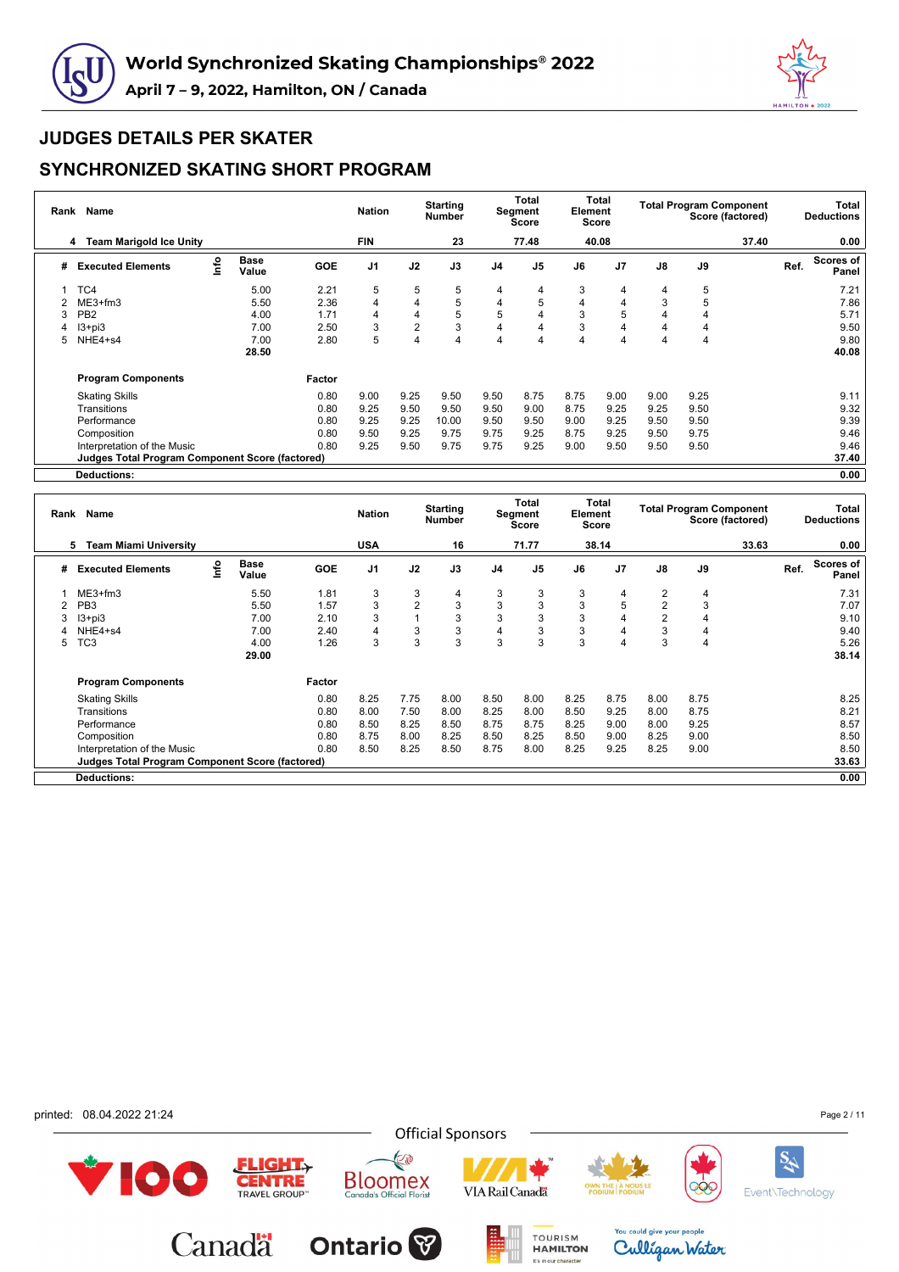



#### **SYNCHRONIZED SKATING SHORT PROGRAM**

| Rank | Name                                                   |      |                      |            | <b>Nation</b>  |                | <b>Starting</b><br><b>Number</b> |                | Total<br>Segment<br>Score | Element | Total<br><b>Score</b> |      | <b>Total Program Component</b><br>Score (factored) |       |      | Total<br><b>Deductions</b> |
|------|--------------------------------------------------------|------|----------------------|------------|----------------|----------------|----------------------------------|----------------|---------------------------|---------|-----------------------|------|----------------------------------------------------|-------|------|----------------------------|
|      | <b>Team Marigold Ice Unity</b><br>4                    |      |                      |            | FIN            |                | 23                               |                | 77.48                     |         | 40.08                 |      |                                                    | 37.40 |      | 0.00                       |
| #    | <b>Executed Elements</b>                               | lnfo | <b>Base</b><br>Value | <b>GOE</b> | J <sub>1</sub> | J2             | J3                               | J <sub>4</sub> | J <sub>5</sub>            | J6      | J <sub>7</sub>        | J8   | J9                                                 |       | Ref. | Scores of<br>Panel         |
|      | TC4                                                    |      | 5.00                 | 2.21       | 5              | 5              | 5                                | 4              | 4                         | 3       | 4                     | 4    | 5                                                  |       |      | 7.21                       |
|      | $ME3+fm3$                                              |      | 5.50                 | 2.36       | 4              | 4              | 5                                | 4              | 5                         | 4       | 4                     | 3    | 5                                                  |       |      | 7.86                       |
| 3    | PB <sub>2</sub>                                        |      | 4.00                 | 1.71       | 4              | 4              | 5                                | 5              | 4                         | 3       | 5                     | 4    | 4                                                  |       |      | 5.71                       |
|      | $13 + pi3$                                             |      | 7.00                 | 2.50       | 3              | $\overline{2}$ | 3                                | 4              | 4                         | 3       | 4                     | 4    | 4                                                  |       |      | 9.50                       |
| 5    | NHE4+s4                                                |      | 7.00                 | 2.80       | 5              | 4              | 4                                | 4              | 4                         |         | 4                     | 4    | 4                                                  |       |      | 9.80                       |
|      |                                                        |      | 28.50                |            |                |                |                                  |                |                           |         |                       |      |                                                    |       |      | 40.08                      |
|      | <b>Program Components</b>                              |      |                      | Factor     |                |                |                                  |                |                           |         |                       |      |                                                    |       |      |                            |
|      | <b>Skating Skills</b>                                  |      |                      | 0.80       | 9.00           | 9.25           | 9.50                             | 9.50           | 8.75                      | 8.75    | 9.00                  | 9.00 | 9.25                                               |       |      | 9.11                       |
|      | Transitions                                            |      |                      | 0.80       | 9.25           | 9.50           | 9.50                             | 9.50           | 9.00                      | 8.75    | 9.25                  | 9.25 | 9.50                                               |       |      | 9.32                       |
|      | Performance                                            |      |                      | 0.80       | 9.25           | 9.25           | 10.00                            | 9.50           | 9.50                      | 9.00    | 9.25                  | 9.50 | 9.50                                               |       |      | 9.39                       |
|      | Composition                                            |      |                      | 0.80       | 9.50           | 9.25           | 9.75                             | 9.75           | 9.25                      | 8.75    | 9.25                  | 9.50 | 9.75                                               |       |      | 9.46                       |
|      | Interpretation of the Music                            |      |                      | 0.80       | 9.25           | 9.50           | 9.75                             | 9.75           | 9.25                      | 9.00    | 9.50                  | 9.50 | 9.50                                               |       |      | 9.46                       |
|      | <b>Judges Total Program Component Score (factored)</b> |      |                      |            |                |                |                                  |                |                           |         |                       |      |                                                    |       |      | 37.40                      |
|      | <b>Deductions:</b>                                     |      |                      |            |                |                |                                  |                |                           |         |                       |      |                                                    |       |      | 0.00                       |

|   | Name<br>Rank<br><b>Team Miami University</b><br>5      |      |                      |            | <b>Nation</b>  |                | <b>Starting</b><br>Number |                | <b>Total</b><br>Segment<br>Score | Element | Total<br><b>Score</b> |                |      | <b>Total Program Component</b><br>Score (factored) |      | Total<br><b>Deductions</b> |
|---|--------------------------------------------------------|------|----------------------|------------|----------------|----------------|---------------------------|----------------|----------------------------------|---------|-----------------------|----------------|------|----------------------------------------------------|------|----------------------------|
|   |                                                        |      |                      |            | <b>USA</b>     |                | 16                        |                | 71.77                            |         | 38.14                 |                |      | 33.63                                              |      | 0.00                       |
| # | <b>Executed Elements</b>                               | Info | <b>Base</b><br>Value | <b>GOE</b> | J <sub>1</sub> | J2             | J3                        | J <sub>4</sub> | J <sub>5</sub>                   | J6      | J <sub>7</sub>        | $\mathsf{J}8$  | J9   |                                                    | Ref. | Scores of<br>Panel         |
|   | $ME3+fm3$                                              |      | 5.50                 | 1.81       | 3              | 3              | 4                         | 3              | 3                                | 3       | 4                     | 2              | 4    |                                                    |      | 7.31                       |
|   | PB <sub>3</sub>                                        |      | 5.50                 | 1.57       | 3              | $\overline{2}$ | 3                         | 3              | 3                                | 3       | 5                     | $\overline{2}$ | 3    |                                                    |      | 7.07                       |
| 3 | $13 + pi3$                                             |      | 7.00                 | 2.10       | 3              |                | 3                         | 3              | 3                                |         |                       | $\overline{2}$ | 4    |                                                    |      | 9.10                       |
|   | NHE4+s4                                                |      | 7.00                 | 2.40       | 4              | 3              | 3                         | 4              | 3                                | 3       |                       | 3              | 4    |                                                    |      | 9.40                       |
| 5 | ГC3                                                    |      | 4.00                 | 1.26       | 3              | 3              | 3                         | 3              | 3                                | 3       |                       | 3              | 4    |                                                    |      | 5.26                       |
|   |                                                        |      | 29.00                |            |                |                |                           |                |                                  |         |                       |                |      |                                                    |      | 38.14                      |
|   | <b>Program Components</b>                              |      |                      | Factor     |                |                |                           |                |                                  |         |                       |                |      |                                                    |      |                            |
|   | <b>Skating Skills</b>                                  |      |                      | 0.80       | 8.25           | 7.75           | 8.00                      | 8.50           | 8.00                             | 8.25    | 8.75                  | 8.00           | 8.75 |                                                    |      | 8.25                       |
|   | Transitions                                            |      |                      | 0.80       | 8.00           | 7.50           | 8.00                      | 8.25           | 8.00                             | 8.50    | 9.25                  | 8.00           | 8.75 |                                                    |      | 8.21                       |
|   | Performance                                            |      |                      | 0.80       | 8.50           | 8.25           | 8.50                      | 8.75           | 8.75                             | 8.25    | 9.00                  | 8.00           | 9.25 |                                                    |      | 8.57                       |
|   | Composition                                            |      |                      | 0.80       | 8.75           | 8.00           | 8.25                      | 8.50           | 8.25                             | 8.50    | 9.00                  | 8.25           | 9.00 |                                                    |      | 8.50                       |
|   | Interpretation of the Music                            |      |                      | 0.80       | 8.50           | 8.25           | 8.50                      | 8.75           | 8.00                             | 8.25    | 9.25                  | 8.25           | 9.00 |                                                    |      | 8.50                       |
|   | <b>Judges Total Program Component Score (factored)</b> |      |                      |            |                |                |                           |                |                                  |         |                       |                |      |                                                    |      | 33.63                      |
|   | <b>Deductions:</b>                                     |      |                      |            |                |                |                           |                |                                  |         |                       |                |      |                                                    |      | 0.00                       |

printed: 08.04.2022 21:24

Page 2 / 11

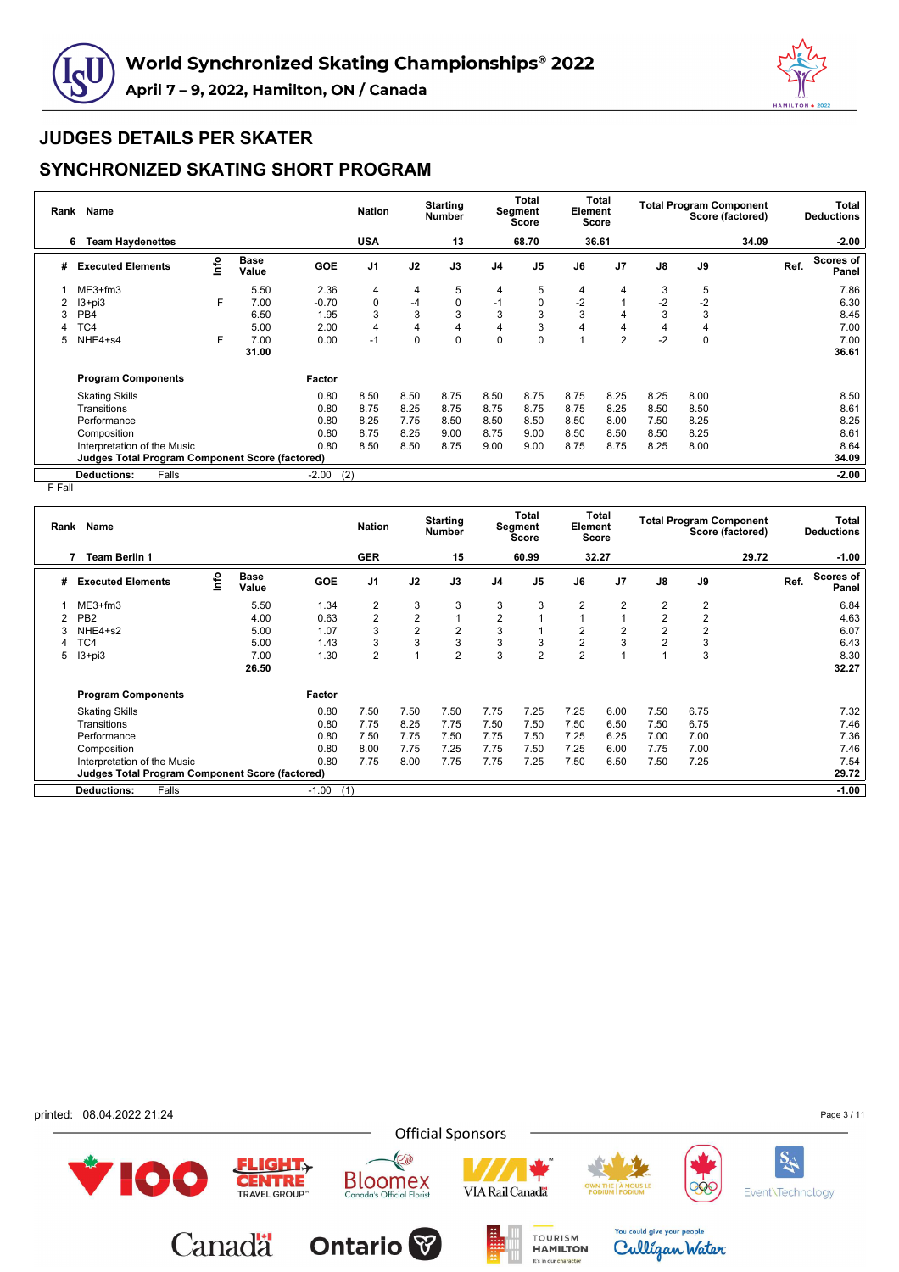



### **SYNCHRONIZED SKATING SHORT PROGRAM**

| Rank | Name                                            |      |                      |            | <b>Nation</b>  |      | <b>Starting</b><br><b>Number</b> |                | <b>Total</b><br>Segment<br><b>Score</b> | Element | Total<br><b>Score</b> |      | <b>Total Program Component</b><br>Score (factored) |      | Total<br><b>Deductions</b> |
|------|-------------------------------------------------|------|----------------------|------------|----------------|------|----------------------------------|----------------|-----------------------------------------|---------|-----------------------|------|----------------------------------------------------|------|----------------------------|
|      | <b>Team Haydenettes</b><br>6                    |      |                      |            | <b>USA</b>     |      | 13                               |                | 68.70                                   |         | 36.61                 |      | 34.09                                              |      | $-2.00$                    |
| #    | <b>Executed Elements</b>                        | lnfo | <b>Base</b><br>Value | <b>GOE</b> | J <sub>1</sub> | J2   | J3                               | J <sub>4</sub> | J <sub>5</sub>                          | J6      | J <sub>7</sub>        | J8   | J9                                                 | Ref. | <b>Scores of</b><br>Panel  |
|      | $ME3+fm3$                                       |      | 5.50                 | 2.36       | 4              | 4    | 5                                | 4              | 5                                       | 4       | 4                     | 3    | 5                                                  |      | 7.86                       |
|      | $13 + pi3$                                      | F    | 7.00                 | $-0.70$    | 0              | $-4$ | 0                                | -1             | 0                                       | $-2$    |                       | $-2$ | $-2$                                               |      | 6.30                       |
|      | PB <sub>4</sub>                                 |      | 6.50                 | 1.95       | 3              | 3    | 3                                | 3              | 3                                       | 3       |                       | 3    | 3                                                  |      | 8.45                       |
|      | TC4                                             |      | 5.00                 | 2.00       | 4              | 4    | 4                                | 4              | 3                                       |         | 4                     | 4    | 4                                                  |      | 7.00                       |
| 5    | NHE4+s4                                         | F    | 7.00                 | 0.00       | $-1$           | 0    | $\Omega$                         | $\mathbf 0$    | 0                                       |         | $\overline{2}$        | $-2$ | 0                                                  |      | 7.00                       |
|      |                                                 |      | 31.00                |            |                |      |                                  |                |                                         |         |                       |      |                                                    |      | 36.61                      |
|      | <b>Program Components</b>                       |      |                      | Factor     |                |      |                                  |                |                                         |         |                       |      |                                                    |      |                            |
|      | <b>Skating Skills</b>                           |      |                      | 0.80       | 8.50           | 8.50 | 8.75                             | 8.50           | 8.75                                    | 8.75    | 8.25                  | 8.25 | 8.00                                               |      | 8.50                       |
|      | Transitions                                     |      |                      | 0.80       | 8.75           | 8.25 | 8.75                             | 8.75           | 8.75                                    | 8.75    | 8.25                  | 8.50 | 8.50                                               |      | 8.61                       |
|      | Performance                                     |      |                      | 0.80       | 8.25           | 7.75 | 8.50                             | 8.50           | 8.50                                    | 8.50    | 8.00                  | 7.50 | 8.25                                               |      | 8.25                       |
|      | Composition                                     |      |                      | 0.80       | 8.75           | 8.25 | 9.00                             | 8.75           | 9.00                                    | 8.50    | 8.50                  | 8.50 | 8.25                                               |      | 8.61                       |
|      | Interpretation of the Music                     |      |                      | 0.80       | 8.50           | 8.50 | 8.75                             | 9.00           | 9.00                                    | 8.75    | 8.75                  | 8.25 | 8.00                                               |      | 8.64                       |
|      | Judges Total Program Component Score (factored) |      |                      |            |                |      |                                  |                |                                         |         |                       |      |                                                    |      | 34.09                      |
|      | Falls<br><b>Deductions:</b>                     |      |                      | $-2.00$    | (2)            |      |                                  |                |                                         |         |                       |      |                                                    |      | $-2.00$                    |

F Fall

| Rank | <b>Name</b>                                            |      |                      |            | <b>Nation</b>  |                         | <b>Starting</b><br><b>Number</b> |                | Total<br>Segment<br>Score | Element        | <b>Total</b><br>Score |                | <b>Total Program Component</b> | Score (factored) |      | Total<br><b>Deductions</b> |
|------|--------------------------------------------------------|------|----------------------|------------|----------------|-------------------------|----------------------------------|----------------|---------------------------|----------------|-----------------------|----------------|--------------------------------|------------------|------|----------------------------|
|      | <b>Team Berlin 1</b><br>7                              |      |                      |            | <b>GER</b>     |                         | 15                               |                | 60.99                     |                | 32.27                 |                |                                | 29.72            |      | $-1.00$                    |
| #    | <b>Executed Elements</b>                               | lnfo | <b>Base</b><br>Value | <b>GOE</b> | J1             | J2                      | J3                               | J <sub>4</sub> | J <sub>5</sub>            | J6             | J <sub>7</sub>        | J8             | J9                             |                  | Ref. | <b>Scores of</b><br>Panel  |
|      | $ME3+fm3$                                              |      | 5.50                 | 1.34       | $\overline{2}$ | 3                       | 3                                | 3              | 3                         | $\overline{2}$ | 2                     | $\overline{2}$ | 2                              |                  |      | 6.84                       |
|      | PB <sub>2</sub>                                        |      | 4.00                 | 0.63       | $\overline{2}$ | $\overline{2}$          | 1                                | $\overline{2}$ |                           |                |                       | $\overline{2}$ | 2                              |                  |      | 4.63                       |
|      | NHE4+s2                                                |      | 5.00                 | 1.07       | 3              | $\overline{\mathbf{c}}$ | $\overline{2}$                   | 3              |                           | $\overline{2}$ | 2                     | $\overline{2}$ | 2                              |                  |      | 6.07                       |
| 4    | TC4                                                    |      | 5.00                 | 1.43       | 3              | 3                       | 3                                | 3              | 3                         | $\overline{2}$ | 3                     | $\overline{2}$ | 3                              |                  |      | 6.43                       |
| 5    | $13 + pi3$                                             |      | 7.00                 | 1.30       | $\overline{2}$ |                         | $\overline{2}$                   | 3              | $\overline{2}$            | $\overline{2}$ |                       |                | 3                              |                  |      | 8.30                       |
|      |                                                        |      | 26.50                |            |                |                         |                                  |                |                           |                |                       |                |                                |                  |      | 32.27                      |
|      | <b>Program Components</b>                              |      |                      | Factor     |                |                         |                                  |                |                           |                |                       |                |                                |                  |      |                            |
|      | <b>Skating Skills</b>                                  |      |                      | 0.80       | 7.50           | 7.50                    | 7.50                             | 7.75           | 7.25                      | 7.25           | 6.00                  | 7.50           | 6.75                           |                  |      | 7.32                       |
|      | Transitions                                            |      |                      | 0.80       | 7.75           | 8.25                    | 7.75                             | 7.50           | 7.50                      | 7.50           | 6.50                  | 7.50           | 6.75                           |                  |      | 7.46                       |
|      | Performance                                            |      |                      | 0.80       | 7.50           | 7.75                    | 7.50                             | 7.75           | 7.50                      | 7.25           | 6.25                  | 7.00           | 7.00                           |                  |      | 7.36                       |
|      | Composition                                            |      |                      | 0.80       | 8.00           | 7.75                    | 7.25                             | 7.75           | 7.50                      | 7.25           | 6.00                  | 7.75           | 7.00                           |                  |      | 7.46                       |
|      | Interpretation of the Music                            |      |                      | 0.80       | 7.75           | 8.00                    | 7.75                             | 7.75           | 7.25                      | 7.50           | 6.50                  | 7.50           | 7.25                           |                  |      | 7.54                       |
|      | <b>Judges Total Program Component Score (factored)</b> |      |                      |            |                |                         |                                  |                |                           |                |                       |                |                                |                  |      | 29.72                      |
|      | <b>Deductions:</b><br>Falls                            |      |                      | $-1.00$    | (1)            |                         |                                  |                |                           |                |                       |                |                                |                  |      | $-1.00$                    |

printed: 08.04.2022 21:24

Page 3 / 11

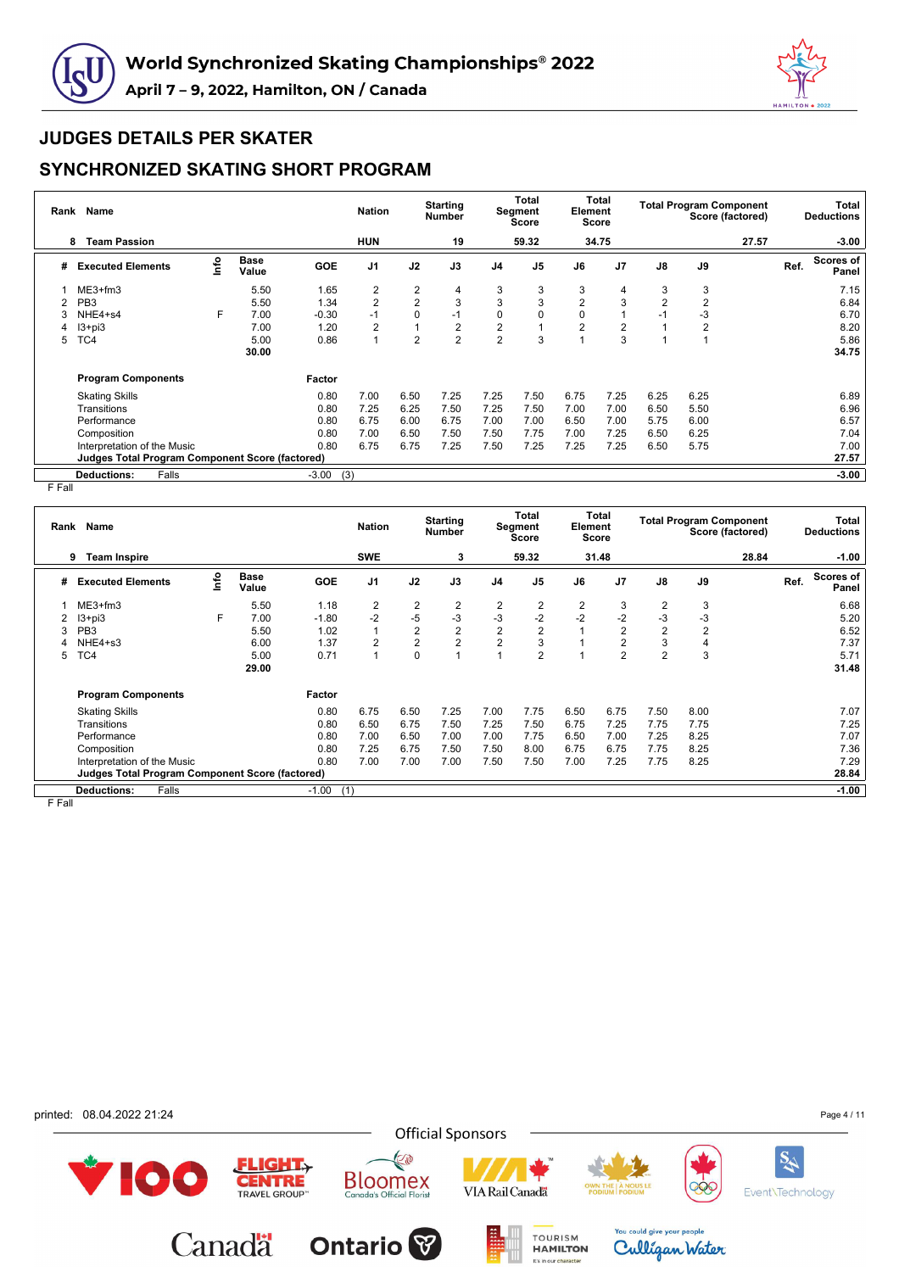



### **SYNCHRONIZED SKATING SHORT PROGRAM**

| Rank | <b>Name</b>                                     |      |                      |            | <b>Nation</b>  |                | <b>Starting</b><br><b>Number</b> |                | Total<br>Segment<br>Score | Element        | Total<br><b>Score</b> |                | <b>Total Program Component</b> | Score (factored) |      | Total<br><b>Deductions</b> |
|------|-------------------------------------------------|------|----------------------|------------|----------------|----------------|----------------------------------|----------------|---------------------------|----------------|-----------------------|----------------|--------------------------------|------------------|------|----------------------------|
|      | <b>Team Passion</b><br>8                        |      |                      |            | <b>HUN</b>     |                | 19                               |                | 59.32                     |                | 34.75                 |                |                                | 27.57            |      | $-3.00$                    |
| #    | <b>Executed Elements</b>                        | Info | <b>Base</b><br>Value | <b>GOE</b> | J <sub>1</sub> | J2             | J3                               | J <sub>4</sub> | J <sub>5</sub>            | J6             | J <sub>7</sub>        | J8             | J9                             |                  | Ref. | Scores of<br>Panel         |
|      | $ME3+fm3$                                       |      | 5.50                 | 1.65       | 2              | 2              | 4                                | 3              | 3                         | 3              | 4                     | 3              | 3                              |                  |      | 7.15                       |
|      | PB <sub>3</sub>                                 |      | 5.50                 | 1.34       | $\overline{2}$ | $\overline{2}$ | 3                                | 3              | 3                         | $\overline{2}$ | 3                     | $\overline{2}$ | $\overline{2}$                 |                  |      | 6.84                       |
|      | NHE4+s4                                         | F    | 7.00                 | $-0.30$    | $-1$           | $\mathbf 0$    | $-1$                             | 0              | 0                         | 0              |                       | $-1$           | -3                             |                  |      | 6.70                       |
| 4    | $13 + pi3$                                      |      | 7.00                 | 1.20       | $\overline{2}$ | 1              | $\overline{2}$                   | $\overline{2}$ |                           | $\overline{2}$ | $\overline{2}$        |                | $\overline{2}$                 |                  |      | 8.20                       |
| 5    | TC4                                             |      | 5.00                 | 0.86       | 1              | $\overline{2}$ | $\overline{2}$                   | $\overline{2}$ | 3                         |                | 3                     |                |                                |                  |      | 5.86                       |
|      |                                                 |      | 30.00                |            |                |                |                                  |                |                           |                |                       |                |                                |                  |      | 34.75                      |
|      | <b>Program Components</b>                       |      |                      | Factor     |                |                |                                  |                |                           |                |                       |                |                                |                  |      |                            |
|      | <b>Skating Skills</b>                           |      |                      | 0.80       | 7.00           | 6.50           | 7.25                             | 7.25           | 7.50                      | 6.75           | 7.25                  | 6.25           | 6.25                           |                  |      | 6.89                       |
|      | Transitions                                     |      |                      | 0.80       | 7.25           | 6.25           | 7.50                             | 7.25           | 7.50                      | 7.00           | 7.00                  | 6.50           | 5.50                           |                  |      | 6.96                       |
|      | Performance                                     |      |                      | 0.80       | 6.75           | 6.00           | 6.75                             | 7.00           | 7.00                      | 6.50           | 7.00                  | 5.75           | 6.00                           |                  |      | 6.57                       |
|      | Composition                                     |      |                      | 0.80       | 7.00           | 6.50           | 7.50                             | 7.50           | 7.75                      | 7.00           | 7.25                  | 6.50           | 6.25                           |                  |      | 7.04                       |
|      | Interpretation of the Music                     |      |                      | 0.80       | 6.75           | 6.75           | 7.25                             | 7.50           | 7.25                      | 7.25           | 7.25                  | 6.50           | 5.75                           |                  |      | 7.00                       |
|      | Judges Total Program Component Score (factored) |      |                      |            |                |                |                                  |                |                           |                |                       |                |                                |                  |      | 27.57                      |
|      | <b>Deductions:</b><br>Falls                     |      |                      | $-3.00$    | (3)            |                |                                  |                |                           |                |                       |                |                                |                  |      | $-3.00$                    |

F Fall

| Rank   | <b>Name</b>                                            |      |                      |            | <b>Nation</b>  |                | <b>Starting</b><br><b>Number</b> |                | <b>Total</b><br>Segment<br>Score | Element        | Total<br><b>Score</b> |                | <b>Total Program Component</b><br>Score (factored) |       |      | Total<br><b>Deductions</b> |
|--------|--------------------------------------------------------|------|----------------------|------------|----------------|----------------|----------------------------------|----------------|----------------------------------|----------------|-----------------------|----------------|----------------------------------------------------|-------|------|----------------------------|
|        | <b>Team Inspire</b><br>9                               |      |                      |            | <b>SWE</b>     |                | 3                                |                | 59.32                            |                | 31.48                 |                |                                                    | 28.84 |      | $-1.00$                    |
| #      | <b>Executed Elements</b>                               | ١nf٥ | <b>Base</b><br>Value | <b>GOE</b> | J <sub>1</sub> | J2             | J3                               | J <sub>4</sub> | J <sub>5</sub>                   | J6             | J <sub>7</sub>        | J8             | J9                                                 |       | Ref. | Scores of<br>Panel         |
|        | $ME3+fm3$                                              |      | 5.50                 | 1.18       | $\overline{2}$ | $\overline{2}$ | 2                                | 2              | 2                                | $\overline{2}$ | 3                     | $\overline{2}$ | 3                                                  |       |      | 6.68                       |
|        | $13 + pi3$                                             | F.   | 7.00                 | $-1.80$    | $-2$           | $-5$           | $-3$                             | -3             | $-2$                             | $-2$           | $-2$                  | $-3$           | -3                                                 |       |      | 5.20                       |
| Э      | PB <sub>3</sub>                                        |      | 5.50                 | 1.02       |                | $\overline{2}$ | $\mathbf{2}$                     | $\overline{2}$ | $\overline{2}$                   |                | $\overline{2}$        | $\mathbf 2$    | 2                                                  |       |      | 6.52                       |
|        | NHE4+s3                                                |      | 6.00                 | 1.37       | $\overline{2}$ | $\overline{2}$ | $\overline{2}$                   | $\overline{2}$ | 3                                |                | $\overline{2}$        | 3              | 4                                                  |       |      | 7.37                       |
| 5      | TC4                                                    |      | 5.00                 | 0.71       |                | $\mathbf 0$    |                                  |                | $\overline{2}$                   |                | $\overline{2}$        | $\overline{2}$ | 3                                                  |       |      | 5.71                       |
|        |                                                        |      | 29.00                |            |                |                |                                  |                |                                  |                |                       |                |                                                    |       |      | 31.48                      |
|        | <b>Program Components</b>                              |      |                      | Factor     |                |                |                                  |                |                                  |                |                       |                |                                                    |       |      |                            |
|        | <b>Skating Skills</b>                                  |      |                      | 0.80       | 6.75           | 6.50           | 7.25                             | 7.00           | 7.75                             | 6.50           | 6.75                  | 7.50           | 8.00                                               |       |      | 7.07                       |
|        | Transitions                                            |      |                      | 0.80       | 6.50           | 6.75           | 7.50                             | 7.25           | 7.50                             | 6.75           | 7.25                  | 7.75           | 7.75                                               |       |      | 7.25                       |
|        | Performance                                            |      |                      | 0.80       | 7.00           | 6.50           | 7.00                             | 7.00           | 7.75                             | 6.50           | 7.00                  | 7.25           | 8.25                                               |       |      | 7.07                       |
|        | Composition                                            |      |                      | 0.80       | 7.25           | 6.75           | 7.50                             | 7.50           | 8.00                             | 6.75           | 6.75                  | 7.75           | 8.25                                               |       |      | 7.36                       |
|        | Interpretation of the Music                            |      |                      | 0.80       | 7.00           | 7.00           | 7.00                             | 7.50           | 7.50                             | 7.00           | 7.25                  | 7.75           | 8.25                                               |       |      | 7.29                       |
|        | <b>Judges Total Program Component Score (factored)</b> |      |                      |            |                |                |                                  |                |                                  |                |                       |                |                                                    |       |      | 28.84                      |
|        | <b>Deductions:</b><br>Falls                            |      |                      | $-1.00$    | (1)            |                |                                  |                |                                  |                |                       |                |                                                    |       |      | $-1.00$                    |
| r r.u. |                                                        |      |                      |            |                |                |                                  |                |                                  |                |                       |                |                                                    |       |      |                            |

F Fall

printed: 08.04.2022 21:24

Page 4 / 11

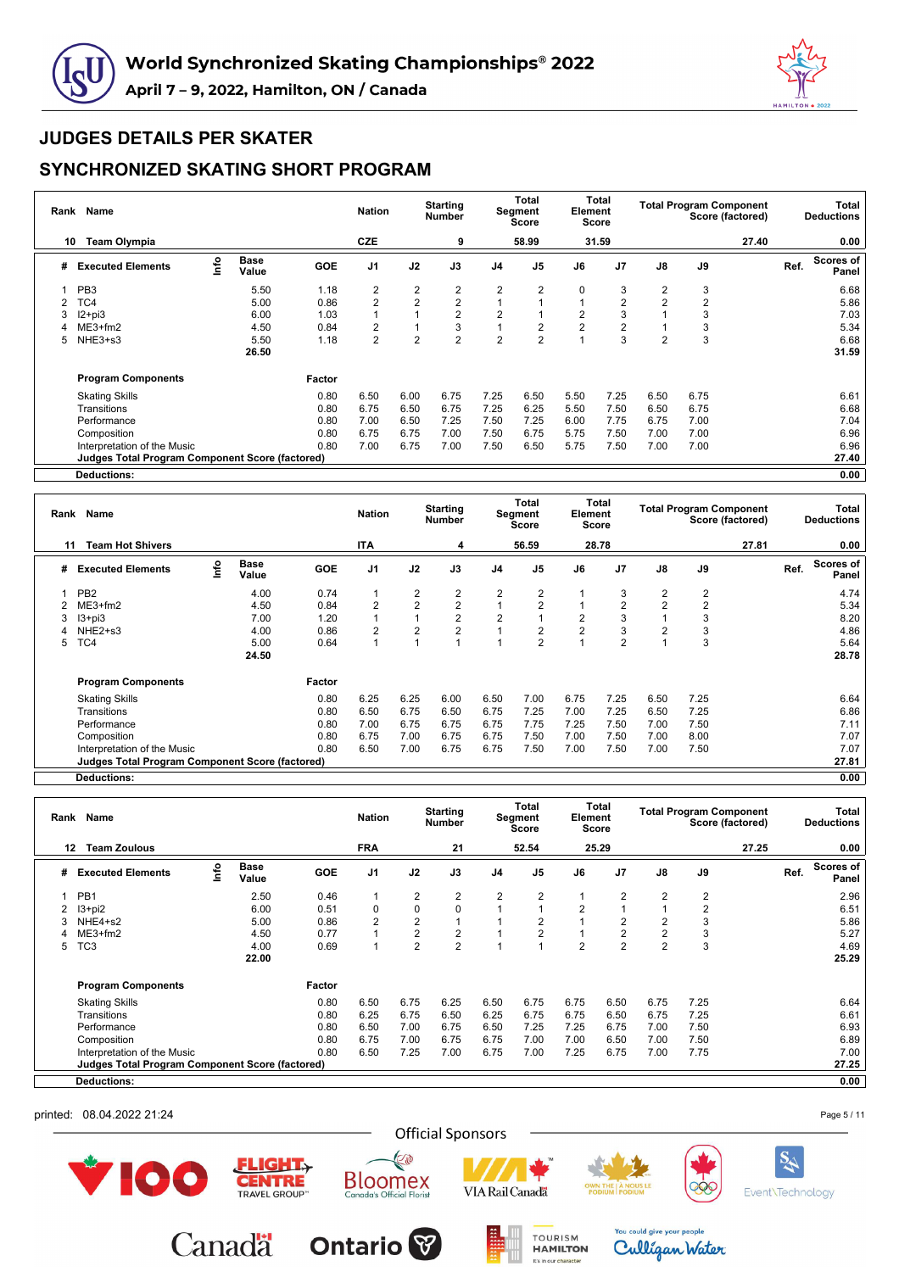



## **SYNCHRONIZED SKATING SHORT PROGRAM**

| Rank | Name                                                   |      |                      |        | <b>Nation</b>  |                | <b>Starting</b><br>Number |                | Total<br>Segment<br><b>Score</b> | Element | Total<br><b>Score</b> |                |                | <b>Total Program Component</b><br>Score (factored) |      | Total<br><b>Deductions</b> |
|------|--------------------------------------------------------|------|----------------------|--------|----------------|----------------|---------------------------|----------------|----------------------------------|---------|-----------------------|----------------|----------------|----------------------------------------------------|------|----------------------------|
| 10   | <b>Team Olympia</b>                                    |      |                      |        | CZE            |                | 9                         |                | 58.99                            |         | 31.59                 |                |                | 27.40                                              |      | 0.00                       |
| #    | <b>Executed Elements</b>                               | lnfo | <b>Base</b><br>Value | GOE    | J <sub>1</sub> | J2             | J3                        | J <sub>4</sub> | J <sub>5</sub>                   | J6      | J <sub>7</sub>        | J8             | J9             |                                                    | Ref. | Scores of<br>Panel         |
|      | PB <sub>3</sub>                                        |      | 5.50                 | 1.18   | 2              | $\overline{2}$ | 2                         | $\overline{2}$ | 2                                | 0       | 3                     | 2              | 3              |                                                    |      | 6.68                       |
|      | TC4                                                    |      | 5.00                 | 0.86   | $\overline{2}$ | $\overline{2}$ | $\overline{2}$            |                |                                  |         | 2                     | $\overline{2}$ | $\overline{2}$ |                                                    |      | 5.86                       |
| 3    | $12+pi3$                                               |      | 6.00                 | 1.03   |                |                | $\overline{2}$            | $\overline{2}$ |                                  | 2       | 3                     |                | 3              |                                                    |      | 7.03                       |
|      | $ME3+fm2$                                              |      | 4.50                 | 0.84   | 2              |                | 3                         |                | 2                                | 2       | 2                     |                | 3              |                                                    |      | 5.34                       |
| 5    | NHE3+s3                                                |      | 5.50                 | 1.18   | $\overline{c}$ | $\overline{2}$ | $\overline{2}$            | $\overline{2}$ | $\overline{2}$                   |         | 3                     | $\overline{2}$ | 3              |                                                    |      | 6.68                       |
|      |                                                        |      | 26.50                |        |                |                |                           |                |                                  |         |                       |                |                |                                                    |      | 31.59                      |
|      | <b>Program Components</b>                              |      |                      | Factor |                |                |                           |                |                                  |         |                       |                |                |                                                    |      |                            |
|      | <b>Skating Skills</b>                                  |      |                      | 0.80   | 6.50           | 6.00           | 6.75                      | 7.25           | 6.50                             | 5.50    | 7.25                  | 6.50           | 6.75           |                                                    |      | 6.61                       |
|      | Transitions                                            |      |                      | 0.80   | 6.75           | 6.50           | 6.75                      | 7.25           | 6.25                             | 5.50    | 7.50                  | 6.50           | 6.75           |                                                    |      | 6.68                       |
|      | Performance                                            |      |                      | 0.80   | 7.00           | 6.50           | 7.25                      | 7.50           | 7.25                             | 6.00    | 7.75                  | 6.75           | 7.00           |                                                    |      | 7.04                       |
|      | Composition                                            |      |                      | 0.80   | 6.75           | 6.75           | 7.00                      | 7.50           | 6.75                             | 5.75    | 7.50                  | 7.00           | 7.00           |                                                    |      | 6.96                       |
|      | Interpretation of the Music                            |      |                      | 0.80   | 7.00           | 6.75           | 7.00                      | 7.50           | 6.50                             | 5.75    | 7.50                  | 7.00           | 7.00           |                                                    |      | 6.96                       |
|      | <b>Judges Total Program Component Score (factored)</b> |      |                      |        |                |                |                           |                |                                  |         |                       |                |                |                                                    |      | 27.40                      |
|      | <b>Deductions:</b>                                     |      |                      |        |                |                |                           |                |                                  |         |                       |                |                |                                                    |      | 0.00                       |

**Rank Name Nation Starting Number Total Segment Score Total Element Score Total Program Component Score (factored) Total Deductions 11 Team Hot Shivers ITA 4 56.59 28.78 27.81 0.00 # Executed Elements Info Base Value GOE J1 J2 J3 J4 J5 J6 J7 J8 J9 Ref. Scores of Panel** 1 PB2 4.00 0.74 1 2 2 2 2 1 3 2 2 4.74 2 ME3+fm2 4.50 0.84 2 2 2 1 2 1 2 2 2 5.34 3 I3+pi3 7.00 1.20 1 1 2 2 1 2 3 1 3 8.20 4 NHE2+s3 4.00 0.86 2 2 2 1 2 2 3 2 3 4.86 5 TC4 5.00 0.64 1 1 1 1 2 1 2 1 3 5.64 **24.50 28.78 Program Components Factor** Skating Skills 0.80 6.25 6.25 6.00 6.50 7.00 6.75 7.25 6.50 7.25 6.64 Transitions 0.80 6.50 6.75 6.50 6.75 7.25 7.00 7.25 6.50 7.25 6.86 Performance 0.80 7.00 6.75 6.75 6.75 7.75 7.25 7.50 7.00 7.50 7.11 Composition 0.80 6.75 7.00 6.75 6.75 7.50 7.00 7.50 7.00 8.00 7.07 Interpretation of the Music 0.80 6.50 7.00 6.75 6.75 7.50 7.00 7.50 7.00 7.50 7.07 **Judges Total Program Component Score (factored) 27.81**

**Deductions: 0.00**

|    | Rank Name                                       |      |                      |        | <b>Nation</b>  |                | <b>Starting</b><br><b>Number</b> |                | Total<br>Segment<br><b>Score</b> | Element        | Total<br>Score |                | <b>Total Program Component</b><br>Score (factored) | Total<br><b>Deductions</b>        |
|----|-------------------------------------------------|------|----------------------|--------|----------------|----------------|----------------------------------|----------------|----------------------------------|----------------|----------------|----------------|----------------------------------------------------|-----------------------------------|
| 12 | <b>Team Zoulous</b>                             |      |                      |        | <b>FRA</b>     |                | 21                               |                | 52.54                            |                | 25.29          |                | 27.25                                              | 0.00                              |
| #  | <b>Executed Elements</b>                        | lnfo | <b>Base</b><br>Value | GOE    | J <sub>1</sub> | J2             | J3                               | J <sub>4</sub> | J <sub>5</sub>                   | J6             | J <sub>7</sub> | J8             | J9                                                 | <b>Scores of</b><br>Ref.<br>Panel |
|    | PB <sub>1</sub>                                 |      | 2.50                 | 0.46   | 1              | 2              | 2                                | 2              | 2                                |                | 2              | $\overline{2}$ | $\overline{2}$                                     | 2.96                              |
|    | l3+pi2                                          |      | 6.00                 | 0.51   | 0              | $\pmb{0}$      | $\mathbf 0$                      |                |                                  | $\overline{2}$ |                | $\mathbf{1}$   | $\overline{2}$                                     | 6.51                              |
|    | NHE4+s2                                         |      | 5.00                 | 0.86   | $\overline{2}$ | $\overline{2}$ |                                  |                | $\overline{2}$                   |                | 2              | $\overline{2}$ | 3                                                  | 5.86                              |
|    | $ME3+fm2$                                       |      | 4.50                 | 0.77   |                | $\overline{2}$ | $\overline{2}$                   |                | $\overline{2}$                   |                | $\overline{2}$ | $\overline{2}$ | 3                                                  | 5.27                              |
| 5  | TC <sub>3</sub>                                 |      | 4.00<br>22.00        | 0.69   |                | $\overline{2}$ | $\overline{2}$                   |                |                                  | $\overline{2}$ | $\overline{2}$ | $\overline{2}$ | 3                                                  | 4.69<br>25.29                     |
|    | <b>Program Components</b>                       |      |                      | Factor |                |                |                                  |                |                                  |                |                |                |                                                    |                                   |
|    | <b>Skating Skills</b>                           |      |                      | 0.80   | 6.50           | 6.75           | 6.25                             | 6.50           | 6.75                             | 6.75           | 6.50           | 6.75           | 7.25                                               | 6.64                              |
|    | Transitions                                     |      |                      | 0.80   | 6.25           | 6.75           | 6.50                             | 6.25           | 6.75                             | 6.75           | 6.50           | 6.75           | 7.25                                               | 6.61                              |
|    | Performance                                     |      |                      | 0.80   | 6.50           | 7.00           | 6.75                             | 6.50           | 7.25                             | 7.25           | 6.75           | 7.00           | 7.50                                               | 6.93                              |
|    | Composition                                     |      |                      | 0.80   | 6.75           | 7.00           | 6.75                             | 6.75           | 7.00                             | 7.00           | 6.50           | 7.00           | 7.50                                               | 6.89                              |
|    | Interpretation of the Music                     |      |                      | 0.80   | 6.50           | 7.25           | 7.00                             | 6.75           | 7.00                             | 7.25           | 6.75           | 7.00           | 7.75                                               | 7.00                              |
|    | Judges Total Program Component Score (factored) |      |                      |        |                |                |                                  |                |                                  |                |                |                |                                                    | 27.25                             |
|    | <b>Deductions:</b>                              |      |                      |        |                |                |                                  |                |                                  |                |                |                |                                                    | 0.00                              |

printed: 08.04.2022 21:24



**Canadä** 



E

la's Official Floris

**Bloomex** 

**Ontario** 



**TOURISM** 

**HAMILTON** It's in our character



You could give your people

Culligan Water



Event\Technology

Page 5 / 11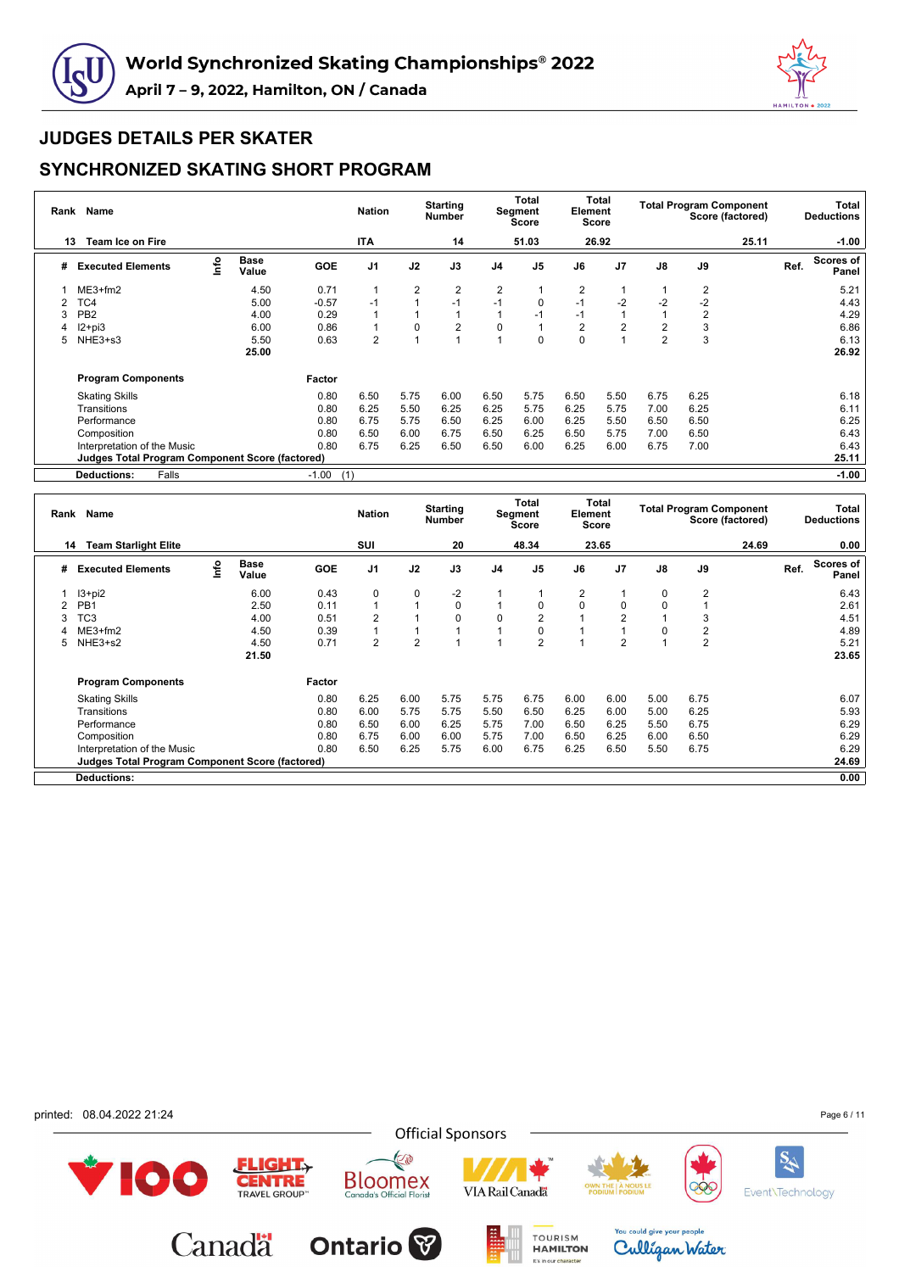



## **SYNCHRONIZED SKATING SHORT PROGRAM**

| Rank | <b>Name</b>                                     |      |                      |            | <b>Nation</b>  |                | <b>Starting</b><br><b>Number</b> |                | Total<br>Segment<br><b>Score</b> | Element        | Total<br>Score |                | <b>Total Program Component</b><br>Score (factored) |       |      | Total<br><b>Deductions</b> |
|------|-------------------------------------------------|------|----------------------|------------|----------------|----------------|----------------------------------|----------------|----------------------------------|----------------|----------------|----------------|----------------------------------------------------|-------|------|----------------------------|
| 13   | <b>Team Ice on Fire</b>                         |      |                      |            | <b>ITA</b>     |                | 14                               |                | 51.03                            |                | 26.92          |                |                                                    | 25.11 |      | $-1.00$                    |
| #    | <b>Executed Elements</b>                        | lnfo | <b>Base</b><br>Value | <b>GOE</b> | J <sub>1</sub> | J2             | J3                               | J <sub>4</sub> | J <sub>5</sub>                   | J6             | J <sub>7</sub> | J8             | J9                                                 |       | Ref. | Scores of<br>Panel         |
|      | $ME3+fm2$                                       |      | 4.50                 | 0.71       | 1              | $\overline{2}$ | 2                                | 2              |                                  | $\overline{2}$ |                |                | 2                                                  |       |      | 5.21                       |
|      | TC4                                             |      | 5.00                 | $-0.57$    | $-1$           | 1              | $-1$                             | $-1$           | 0                                | $-1$           | $-2$           | $-2$           | $-2$                                               |       |      | 4.43                       |
| 3    | PB <sub>2</sub>                                 |      | 4.00                 | 0.29       | 1              |                |                                  |                | -1                               | $-1$           |                |                | $\overline{2}$                                     |       |      | 4.29                       |
|      | $12+pi3$                                        |      | 6.00                 | 0.86       | 1              | 0              | $\overline{2}$                   | 0              |                                  | $\overline{2}$ | $\overline{2}$ | $\overline{2}$ | 3                                                  |       |      | 6.86                       |
| 5    | NHE3+s3                                         |      | 5.50                 | 0.63       | $\overline{2}$ | 1              |                                  |                | $\Omega$                         | $\Omega$       |                | $\overline{2}$ | 3                                                  |       |      | 6.13                       |
|      |                                                 |      | 25.00                |            |                |                |                                  |                |                                  |                |                |                |                                                    |       |      | 26.92                      |
|      | <b>Program Components</b>                       |      |                      | Factor     |                |                |                                  |                |                                  |                |                |                |                                                    |       |      |                            |
|      | <b>Skating Skills</b>                           |      |                      | 0.80       | 6.50           | 5.75           | 6.00                             | 6.50           | 5.75                             | 6.50           | 5.50           | 6.75           | 6.25                                               |       |      | 6.18                       |
|      | Transitions                                     |      |                      | 0.80       | 6.25           | 5.50           | 6.25                             | 6.25           | 5.75                             | 6.25           | 5.75           | 7.00           | 6.25                                               |       |      | 6.11                       |
|      | Performance                                     |      |                      | 0.80       | 6.75           | 5.75           | 6.50                             | 6.25           | 6.00                             | 6.25           | 5.50           | 6.50           | 6.50                                               |       |      | 6.25                       |
|      | Composition                                     |      |                      | 0.80       | 6.50           | 6.00           | 6.75                             | 6.50           | 6.25                             | 6.50           | 5.75           | 7.00           | 6.50                                               |       |      | 6.43                       |
|      | Interpretation of the Music                     |      |                      | 0.80       | 6.75           | 6.25           | 6.50                             | 6.50           | 6.00                             | 6.25           | 6.00           | 6.75           | 7.00                                               |       |      | 6.43                       |
|      | Judges Total Program Component Score (factored) |      |                      |            |                |                |                                  |                |                                  |                |                |                |                                                    |       |      | 25.11                      |
|      | Falls<br><b>Deductions:</b>                     |      |                      | $-1.00$    | (1)            |                |                                  |                |                                  |                |                |                |                                                    |       |      | $-1.00$                    |

|   | Rank Name                                              |     |                      |        | <b>Nation</b>  |                | <b>Starting</b><br><b>Number</b> |      | Total<br>Segment<br>Score | Element  | <b>Total</b><br><b>Score</b> |               |                | <b>Total Program Component</b><br>Score (factored) |      | Total<br><b>Deductions</b> |
|---|--------------------------------------------------------|-----|----------------------|--------|----------------|----------------|----------------------------------|------|---------------------------|----------|------------------------------|---------------|----------------|----------------------------------------------------|------|----------------------------|
|   | <b>Team Starlight Elite</b><br>14                      |     |                      |        | SUI            |                | 20                               |      | 48.34                     |          | 23.65                        |               |                | 24.69                                              |      | 0.00                       |
| # | <b>Executed Elements</b>                               | r۴o | <b>Base</b><br>Value | GOE    | J <sub>1</sub> | J2             | J3                               | J4   | J <sub>5</sub>            | J6       | J <sub>7</sub>               | $\mathsf{J}8$ | J9             |                                                    | Ref. | Scores of<br>Panel         |
|   | $13 + pi2$                                             |     | 6.00                 | 0.43   | $\mathbf 0$    | 0              | $-2$                             |      |                           | 2        |                              | 0             | 2              |                                                    |      | 6.43                       |
|   | PB <sub>1</sub>                                        |     | 2.50                 | 0.11   |                | 1              | $\mathbf 0$                      |      | 0                         | $\Omega$ | $\Omega$                     | $\mathbf 0$   |                |                                                    |      | 2.61                       |
| 3 | TC <sub>3</sub>                                        |     | 4.00                 | 0.51   | 2              |                | $\mathbf 0$                      | 0    | $\overline{2}$            |          | $\overline{2}$               |               | 3              |                                                    |      | 4.51                       |
|   | $ME3+fm2$                                              |     | 4.50                 | 0.39   |                |                |                                  |      | 0                         |          |                              | $\mathbf 0$   | 2              |                                                    |      | 4.89                       |
| 5 | NHE3+s2                                                |     | 4.50                 | 0.71   | $\overline{2}$ | $\overline{2}$ |                                  |      | $\overline{2}$            |          | $\overline{2}$               |               | $\overline{2}$ |                                                    |      | 5.21                       |
|   |                                                        |     | 21.50                |        |                |                |                                  |      |                           |          |                              |               |                |                                                    |      | 23.65                      |
|   | <b>Program Components</b>                              |     |                      | Factor |                |                |                                  |      |                           |          |                              |               |                |                                                    |      |                            |
|   | <b>Skating Skills</b>                                  |     |                      | 0.80   | 6.25           | 6.00           | 5.75                             | 5.75 | 6.75                      | 6.00     | 6.00                         | 5.00          | 6.75           |                                                    |      | 6.07                       |
|   | Transitions                                            |     |                      | 0.80   | 6.00           | 5.75           | 5.75                             | 5.50 | 6.50                      | 6.25     | 6.00                         | 5.00          | 6.25           |                                                    |      | 5.93                       |
|   | Performance                                            |     |                      | 0.80   | 6.50           | 6.00           | 6.25                             | 5.75 | 7.00                      | 6.50     | 6.25                         | 5.50          | 6.75           |                                                    |      | 6.29                       |
|   | Composition                                            |     |                      | 0.80   | 6.75           | 6.00           | 6.00                             | 5.75 | 7.00                      | 6.50     | 6.25                         | 6.00          | 6.50           |                                                    |      | 6.29                       |
|   | Interpretation of the Music                            |     |                      | 0.80   | 6.50           | 6.25           | 5.75                             | 6.00 | 6.75                      | 6.25     | 6.50                         | 5.50          | 6.75           |                                                    |      | 6.29                       |
|   | <b>Judges Total Program Component Score (factored)</b> |     |                      |        |                |                |                                  |      |                           |          |                              |               |                |                                                    |      | 24.69                      |
|   | <b>Deductions:</b>                                     |     |                      |        |                |                |                                  |      |                           |          |                              |               |                |                                                    |      | 0.00                       |

printed: 08.04.2022 21:24

100



E

**Bloomex**<br>Canada's Official Florist



TOURISM

It's in our character



You could give your people

Culligan Water



Event\Technology



**FLIGHT** 

**CENTRE** 

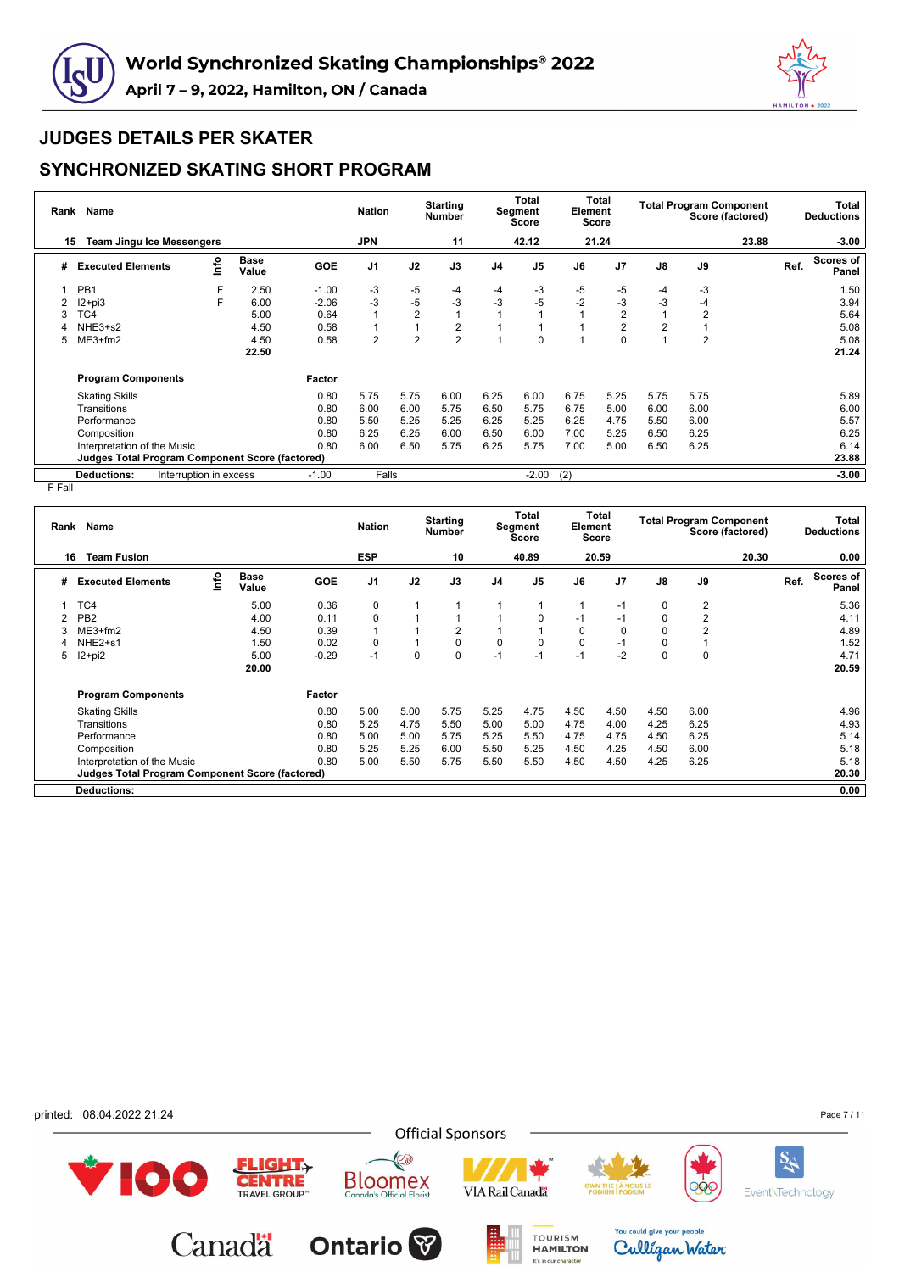



#### **SYNCHRONIZED SKATING SHORT PROGRAM**

| Rank | Name                                                   |                        |                      |            | <b>Nation</b>  |                | <b>Starting</b><br>Number |                | Total<br>Segment<br>Score | Element | Total<br>Score |                |                | <b>Total Program Component</b><br>Score (factored) |      | Total<br><b>Deductions</b> |
|------|--------------------------------------------------------|------------------------|----------------------|------------|----------------|----------------|---------------------------|----------------|---------------------------|---------|----------------|----------------|----------------|----------------------------------------------------|------|----------------------------|
| 15   | <b>Team Jingu Ice Messengers</b>                       |                        |                      |            | <b>JPN</b>     |                | 11                        |                | 42.12                     |         | 21.24          |                |                | 23.88                                              |      | $-3.00$                    |
| #    | <b>Executed Elements</b>                               | lnfo                   | <b>Base</b><br>Value | <b>GOE</b> | J <sub>1</sub> | J2             | J3                        | J <sub>4</sub> | J <sub>5</sub>            | J6      | J <sub>7</sub> | J8             | J9             |                                                    | Ref. | Scores of<br>Panel         |
|      | PB <sub>1</sub>                                        | F                      | 2.50                 | $-1.00$    | $-3$           | $-5$           | -4                        | -4             | -3                        | -5      | -5             | -4             | -3             |                                                    |      | 1.50                       |
|      | $12 + pi3$                                             | F.                     | 6.00                 | $-2.06$    | $-3$           | $-5$           | -3                        | -3             | $-5$                      | -2      | -3             | -3             | -4             |                                                    |      | 3.94                       |
|      | TC4                                                    |                        | 5.00                 | 0.64       |                | $\overline{2}$ |                           |                |                           |         | 2              | 1              | $\overline{2}$ |                                                    |      | 5.64                       |
|      | NHE3+s2                                                |                        | 4.50                 | 0.58       |                |                | 2                         |                |                           |         | $\overline{2}$ | $\overline{2}$ |                |                                                    |      | 5.08                       |
| 5    | $ME3+fm2$                                              |                        | 4.50                 | 0.58       | $\overline{2}$ | $\overline{2}$ | $\overline{2}$            |                | $\Omega$                  |         | $\Omega$       |                | $\overline{2}$ |                                                    |      | 5.08                       |
|      |                                                        |                        | 22.50                |            |                |                |                           |                |                           |         |                |                |                |                                                    |      | 21.24                      |
|      | <b>Program Components</b>                              |                        |                      | Factor     |                |                |                           |                |                           |         |                |                |                |                                                    |      |                            |
|      | <b>Skating Skills</b>                                  |                        |                      | 0.80       | 5.75           | 5.75           | 6.00                      | 6.25           | 6.00                      | 6.75    | 5.25           | 5.75           | 5.75           |                                                    |      | 5.89                       |
|      | Transitions                                            |                        |                      | 0.80       | 6.00           | 6.00           | 5.75                      | 6.50           | 5.75                      | 6.75    | 5.00           | 6.00           | 6.00           |                                                    |      | 6.00                       |
|      | Performance                                            |                        |                      | 0.80       | 5.50           | 5.25           | 5.25                      | 6.25           | 5.25                      | 6.25    | 4.75           | 5.50           | 6.00           |                                                    |      | 5.57                       |
|      | Composition                                            |                        |                      | 0.80       | 6.25           | 6.25           | 6.00                      | 6.50           | 6.00                      | 7.00    | 5.25           | 6.50           | 6.25           |                                                    |      | 6.25                       |
|      | Interpretation of the Music                            |                        |                      | 0.80       | 6.00           | 6.50           | 5.75                      | 6.25           | 5.75                      | 7.00    | 5.00           | 6.50           | 6.25           |                                                    |      | 6.14                       |
|      | <b>Judges Total Program Component Score (factored)</b> |                        |                      |            |                |                |                           |                |                           |         |                |                |                |                                                    |      | 23.88                      |
|      | <b>Deductions:</b>                                     | Interruption in excess |                      | $-1.00$    | Falls          |                |                           |                | $-2.00$                   | (2)     |                |                |                |                                                    |      | $-3.00$                    |

F Fall

|   | Rank Name                                              |      |                      |         | <b>Nation</b>  |      | <b>Starting</b><br><b>Number</b> |                | Total<br>Segment<br><b>Score</b> | Element  | Total<br><b>Score</b> |               | <b>Total Program Component</b> | Score (factored) |      | Total<br><b>Deductions</b> |
|---|--------------------------------------------------------|------|----------------------|---------|----------------|------|----------------------------------|----------------|----------------------------------|----------|-----------------------|---------------|--------------------------------|------------------|------|----------------------------|
|   | <b>Team Fusion</b><br>16                               |      |                      |         | <b>ESP</b>     |      | 10                               |                | 40.89                            |          | 20.59                 |               |                                | 20.30            |      | 0.00                       |
| # | <b>Executed Elements</b>                               | ١nf٥ | <b>Base</b><br>Value | GOE     | J <sub>1</sub> | J2   | J3                               | J <sub>4</sub> | J <sub>5</sub>                   | J6       | J7                    | $\mathsf{J}8$ | J9                             |                  | Ref. | Scores of<br>Panel         |
|   | TC4                                                    |      | 5.00                 | 0.36    | $\mathbf 0$    |      |                                  |                |                                  | 1        | $-1$                  | 0             | 2                              |                  |      | 5.36                       |
|   | PB <sub>2</sub>                                        |      | 4.00                 | 0.11    | $\mathbf 0$    |      |                                  |                | 0                                | $-1$     | $-1$                  | 0             | $\overline{2}$                 |                  |      | 4.11                       |
|   | $ME3+fm2$                                              |      | 4.50                 | 0.39    | $\mathbf 1$    |      | $\overline{2}$                   |                |                                  | 0        | 0                     | 0             | 2                              |                  |      | 4.89                       |
|   | NHE <sub>2+s1</sub>                                    |      | 1.50                 | 0.02    | $\Omega$       |      | $\mathbf 0$                      | $\Omega$       | 0                                | $\Omega$ | $-1$                  | 0             |                                |                  |      | 1.52                       |
| 5 | $12+pi2$                                               |      | 5.00                 | $-0.29$ | $-1$           | 0    | $\mathbf 0$                      | $-1$           | $-1$                             | $-1$     | $-2$                  | $\mathbf 0$   | $\mathbf 0$                    |                  |      | 4.71                       |
|   |                                                        |      | 20.00                |         |                |      |                                  |                |                                  |          |                       |               |                                |                  |      | 20.59                      |
|   | <b>Program Components</b>                              |      |                      | Factor  |                |      |                                  |                |                                  |          |                       |               |                                |                  |      |                            |
|   | <b>Skating Skills</b>                                  |      |                      | 0.80    | 5.00           | 5.00 | 5.75                             | 5.25           | 4.75                             | 4.50     | 4.50                  | 4.50          | 6.00                           |                  |      | 4.96                       |
|   | Transitions                                            |      |                      | 0.80    | 5.25           | 4.75 | 5.50                             | 5.00           | 5.00                             | 4.75     | 4.00                  | 4.25          | 6.25                           |                  |      | 4.93                       |
|   | Performance                                            |      |                      | 0.80    | 5.00           | 5.00 | 5.75                             | 5.25           | 5.50                             | 4.75     | 4.75                  | 4.50          | 6.25                           |                  |      | 5.14                       |
|   | Composition                                            |      |                      | 0.80    | 5.25           | 5.25 | 6.00                             | 5.50           | 5.25                             | 4.50     | 4.25                  | 4.50          | 6.00                           |                  |      | 5.18                       |
|   | Interpretation of the Music                            |      |                      | 0.80    | 5.00           | 5.50 | 5.75                             | 5.50           | 5.50                             | 4.50     | 4.50                  | 4.25          | 6.25                           |                  |      | 5.18                       |
|   | <b>Judges Total Program Component Score (factored)</b> |      |                      |         |                |      |                                  |                |                                  |          |                       |               |                                |                  |      | 20.30                      |
|   | <b>Deductions:</b>                                     |      |                      |         |                |      |                                  |                |                                  |          |                       |               |                                |                  |      | 0.00                       |

printed: 08.04.2022 21:24

100

Page 7 / 11

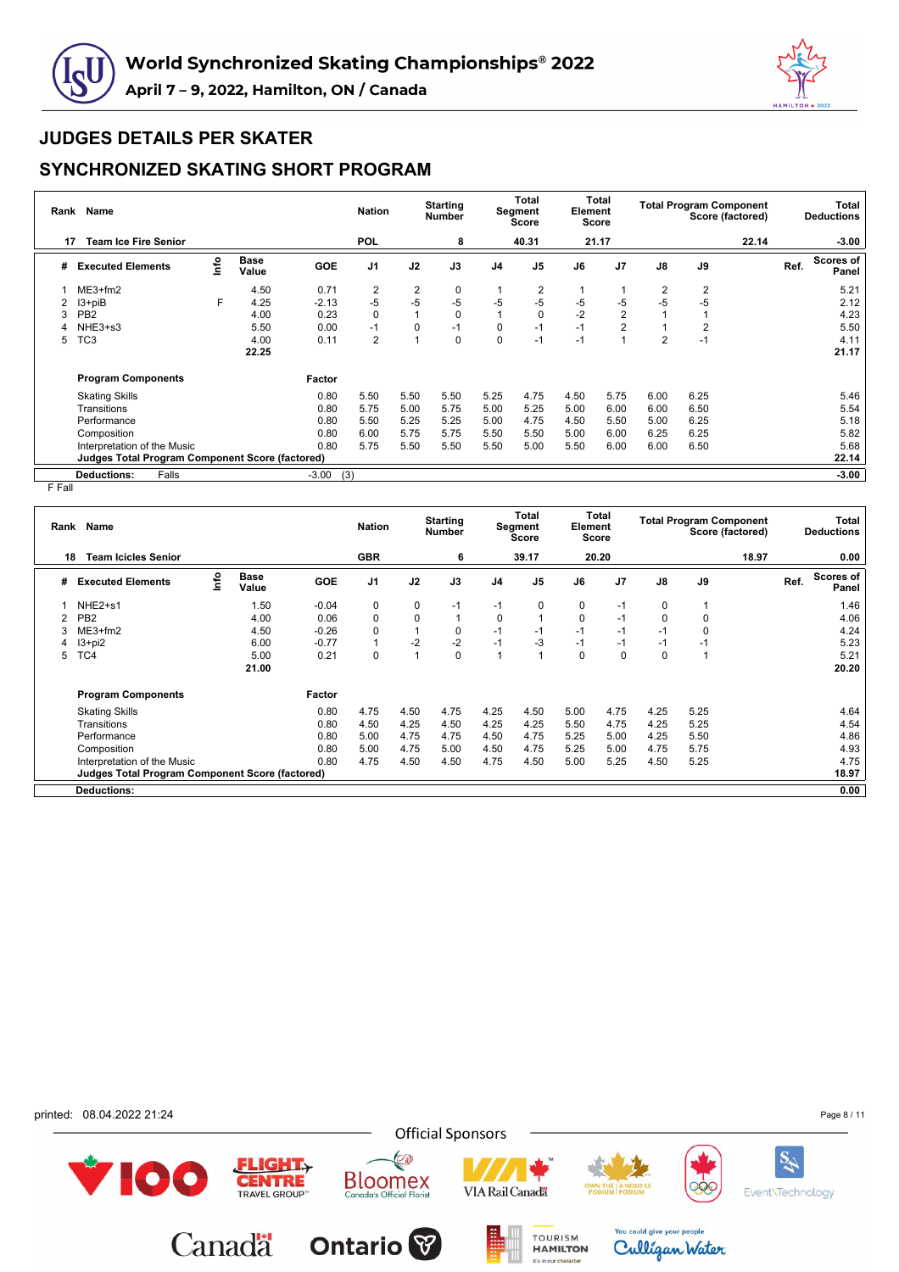



### **SYNCHRONIZED SKATING SHORT PROGRAM**

| Rank | Name                                            |      |                      |            | <b>Nation</b>  |                | <b>Starting</b><br><b>Number</b> |                | <b>Total</b><br>Segment<br><b>Score</b> | Element | Total<br><b>Score</b> |                | <b>Total Program Component</b><br>Score (factored) |       |      | Total<br><b>Deductions</b> |
|------|-------------------------------------------------|------|----------------------|------------|----------------|----------------|----------------------------------|----------------|-----------------------------------------|---------|-----------------------|----------------|----------------------------------------------------|-------|------|----------------------------|
| 17   | <b>Team Ice Fire Senior</b>                     |      |                      |            | <b>POL</b>     |                | 8                                |                | 40.31                                   |         | 21.17                 |                |                                                    | 22.14 |      | $-3.00$                    |
| #    | <b>Executed Elements</b>                        | lnfo | <b>Base</b><br>Value | <b>GOE</b> | J <sub>1</sub> | J2             | J3                               | J <sub>4</sub> | J <sub>5</sub>                          | J6      | J <sub>7</sub>        | J8             | J9                                                 |       | Ref. | Scores of<br>Panel         |
|      | $ME3+fm2$                                       |      | 4.50                 | 0.71       | $\overline{2}$ | $\overline{2}$ | 0                                |                | 2                                       |         |                       | $\overline{2}$ | 2                                                  |       |      | 5.21                       |
|      | $13 + piB$                                      | F    | 4.25                 | $-2.13$    | $-5$           | $-5$           | $-5$                             | -5             | $-5$                                    | -5      | $-5$                  | $-5$           | -5                                                 |       |      | 2.12                       |
|      | PB <sub>2</sub>                                 |      | 4.00                 | 0.23       | $\mathbf 0$    |                | $\Omega$                         |                | $\Omega$                                | $-2$    | $\overline{2}$        |                |                                                    |       |      | 4.23                       |
|      | NHE3+s3                                         |      | 5.50                 | 0.00       | $-1$           | 0              | $-1$                             | 0              | $-1$                                    | $-1$    | $\overline{2}$        |                | 2                                                  |       |      | 5.50                       |
| 5    | TC <sub>3</sub>                                 |      | 4.00                 | 0.11       | $\overline{2}$ |                | $\Omega$                         | $\mathbf 0$    | $-1$                                    | $-1$    |                       | $\overline{2}$ | $-1$                                               |       |      | 4.11                       |
|      |                                                 |      | 22.25                |            |                |                |                                  |                |                                         |         |                       |                |                                                    |       |      | 21.17                      |
|      | <b>Program Components</b>                       |      |                      | Factor     |                |                |                                  |                |                                         |         |                       |                |                                                    |       |      |                            |
|      | <b>Skating Skills</b>                           |      |                      | 0.80       | 5.50           | 5.50           | 5.50                             | 5.25           | 4.75                                    | 4.50    | 5.75                  | 6.00           | 6.25                                               |       |      | 5.46                       |
|      | Transitions                                     |      |                      | 0.80       | 5.75           | 5.00           | 5.75                             | 5.00           | 5.25                                    | 5.00    | 6.00                  | 6.00           | 6.50                                               |       |      | 5.54                       |
|      | Performance                                     |      |                      | 0.80       | 5.50           | 5.25           | 5.25                             | 5.00           | 4.75                                    | 4.50    | 5.50                  | 5.00           | 6.25                                               |       |      | 5.18                       |
|      | Composition                                     |      |                      | 0.80       | 6.00           | 5.75           | 5.75                             | 5.50           | 5.50                                    | 5.00    | 6.00                  | 6.25           | 6.25                                               |       |      | 5.82                       |
|      | Interpretation of the Music                     |      |                      | 0.80       | 5.75           | 5.50           | 5.50                             | 5.50           | 5.00                                    | 5.50    | 6.00                  | 6.00           | 6.50                                               |       |      | 5.68                       |
|      | Judges Total Program Component Score (factored) |      |                      |            |                |                |                                  |                |                                         |         |                       |                |                                                    |       |      | 22.14                      |
|      | Falls<br><b>Deductions:</b>                     |      |                      | $-3.00$    | (3)            |                |                                  |                |                                         |         |                       |                |                                                    |       |      | $-3.00$                    |

F Fall

| Rank | Name                                            |      |                      |            | <b>Nation</b>  |             | <b>Starting</b><br><b>Number</b> |                | Total<br>Segment<br>Score | Element  | Total<br>Score |               |             | <b>Total Program Component</b><br>Score (factored) |      | Total<br><b>Deductions</b> |
|------|-------------------------------------------------|------|----------------------|------------|----------------|-------------|----------------------------------|----------------|---------------------------|----------|----------------|---------------|-------------|----------------------------------------------------|------|----------------------------|
| 18   | <b>Team Icicles Senior</b>                      |      |                      |            | <b>GBR</b>     |             | 6                                |                | 39.17                     |          | 20.20          |               |             | 18.97                                              |      | 0.00                       |
| #    | <b>Executed Elements</b>                        | ١nf٥ | <b>Base</b><br>Value | <b>GOE</b> | J <sub>1</sub> | J2          | J3                               | J <sub>4</sub> | J <sub>5</sub>            | J6       | J7             | $\mathsf{J}8$ | J9          |                                                    | Ref. | Scores of<br>Panel         |
|      | NHE <sub>2+s1</sub>                             |      | 1.50                 | $-0.04$    | 0              | 0           | $-1$                             | $-1$           | 0                         | 0        | $-1$           | $\mathbf 0$   |             |                                                    |      | 1.46                       |
|      | PB <sub>2</sub>                                 |      | 4.00                 | 0.06       | 0              | $\mathbf 0$ | $\mathbf{1}$                     | 0              |                           | 0        | $-1$           | $\mathbf 0$   | 0           |                                                    |      | 4.06                       |
|      | $ME3+fm2$                                       |      | 4.50                 | $-0.26$    | $\mathbf 0$    |             | $\mathbf 0$                      | $-1$           | $-1$                      | $-1$     | $-1$           | $-1$          | $\mathbf 0$ |                                                    |      | 4.24                       |
| 4    | $13+pi2$                                        |      | 6.00                 | $-0.77$    | 1              | $-2$        | $-2$                             | $-1$           | $-3$                      | $-1$     | $-1$           | $-1$          | $-1$        |                                                    |      | 5.23                       |
| 5    | TC4                                             |      | 5.00                 | 0.21       | $\Omega$       |             | $\mathbf 0$                      |                | 1                         | $\Omega$ | 0              | $\mathbf 0$   |             |                                                    |      | 5.21                       |
|      |                                                 |      | 21.00                |            |                |             |                                  |                |                           |          |                |               |             |                                                    |      | 20.20                      |
|      | <b>Program Components</b>                       |      |                      | Factor     |                |             |                                  |                |                           |          |                |               |             |                                                    |      |                            |
|      | <b>Skating Skills</b>                           |      |                      | 0.80       | 4.75           | 4.50        | 4.75                             | 4.25           | 4.50                      | 5.00     | 4.75           | 4.25          | 5.25        |                                                    |      | 4.64                       |
|      | Transitions                                     |      |                      | 0.80       | 4.50           | 4.25        | 4.50                             | 4.25           | 4.25                      | 5.50     | 4.75           | 4.25          | 5.25        |                                                    |      | 4.54                       |
|      | Performance                                     |      |                      | 0.80       | 5.00           | 4.75        | 4.75                             | 4.50           | 4.75                      | 5.25     | 5.00           | 4.25          | 5.50        |                                                    |      | 4.86                       |
|      | Composition                                     |      |                      | 0.80       | 5.00           | 4.75        | 5.00                             | 4.50           | 4.75                      | 5.25     | 5.00           | 4.75          | 5.75        |                                                    |      | 4.93                       |
|      | Interpretation of the Music                     |      |                      | 0.80       | 4.75           | 4.50        | 4.50                             | 4.75           | 4.50                      | 5.00     | 5.25           | 4.50          | 5.25        |                                                    |      | 4.75                       |
|      | Judges Total Program Component Score (factored) |      |                      |            |                |             |                                  |                |                           |          |                |               |             |                                                    |      | 18.97                      |
|      | <b>Deductions:</b>                              |      |                      |            |                |             |                                  |                |                           |          |                |               |             |                                                    |      | 0.00                       |

**Official Sponsors** 

**VIA Rail Canada** 

TOURISM

It's in our character

E

**Bloomex**<br>Canada's Official Florist

**Ontario** 

 $ELIGHT<sub>Y</sub>$ 

**CENTRE** 

Canadä

printed: 08.04.2022 21:24

100

Page 8 / 11

**SA** 

Event\Technology

QC

You could give your people

Culligan Water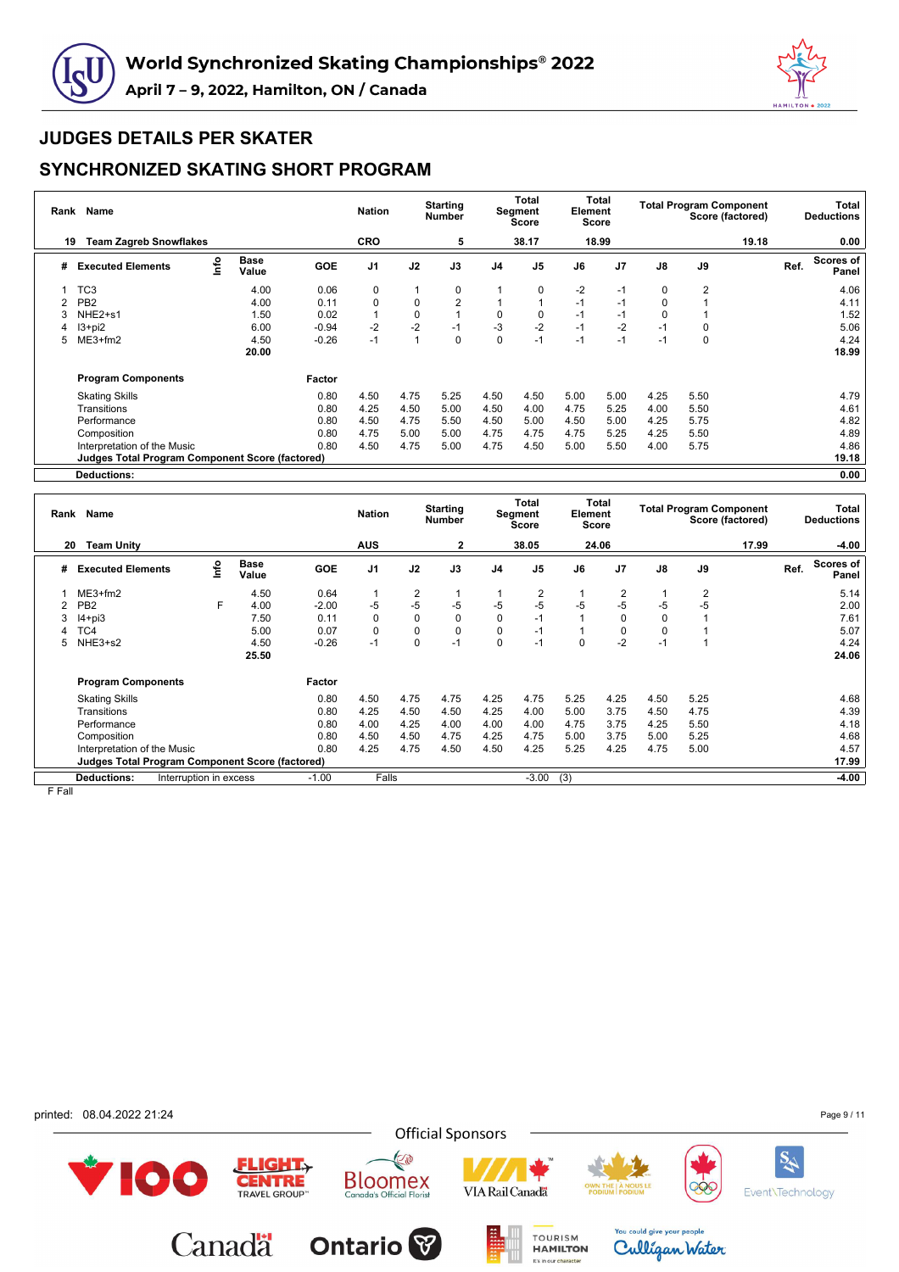



### **SYNCHRONIZED SKATING SHORT PROGRAM**

| Rank           | Name                                                   |      |                      |            | <b>Nation</b>  |             | <b>Starting</b><br>Number |                | Total<br>Segment<br>Score | Element | Total<br><b>Score</b> |             | <b>Total Program Component</b> | Score (factored) |      | Total<br><b>Deductions</b> |
|----------------|--------------------------------------------------------|------|----------------------|------------|----------------|-------------|---------------------------|----------------|---------------------------|---------|-----------------------|-------------|--------------------------------|------------------|------|----------------------------|
| 19             | <b>Team Zagreb Snowflakes</b>                          |      |                      |            | CRO            |             | 5                         |                | 38.17                     |         | 18.99                 |             |                                | 19.18            |      | 0.00                       |
| #              | <b>Executed Elements</b>                               | lnfo | <b>Base</b><br>Value | <b>GOE</b> | J <sub>1</sub> | J2          | J3                        | J <sub>4</sub> | J <sub>5</sub>            | J6      | J <sub>7</sub>        | J8          | J9                             |                  | Ref. | Scores of<br>Panel         |
|                | TC <sub>3</sub>                                        |      | 4.00                 | 0.06       | 0              |             | 0                         |                | 0                         | $-2$    | $-1$                  | 0           | $\overline{2}$                 |                  |      | 4.06                       |
| $\mathfrak{p}$ | PB <sub>2</sub>                                        |      | 4.00                 | 0.11       | $\pmb{0}$      | $\mathbf 0$ | $\overline{2}$            |                |                           | $-1$    | $-1$                  | $\mathbf 0$ |                                |                  |      | 4.11                       |
|                | NHE <sub>2+s1</sub>                                    |      | 1.50                 | 0.02       |                | $\mathbf 0$ |                           | $\mathbf 0$    | 0                         | $-1$    | $-1$                  | 0           |                                |                  |      | 1.52                       |
| 4              | $13 + pi2$                                             |      | 6.00                 | $-0.94$    | $-2$           | $-2$        | $-1$                      | $-3$           | $-2$                      | $-1$    | $-2$                  | $-1$        | 0                              |                  |      | 5.06                       |
| 5              | $ME3+fm2$                                              |      | 4.50                 | $-0.26$    | $-1$           |             | 0                         | $\mathbf 0$    | $-1$                      | $-1$    | $-1$                  | $-1$        | $\mathbf 0$                    |                  |      | 4.24                       |
|                |                                                        |      | 20.00                |            |                |             |                           |                |                           |         |                       |             |                                |                  |      | 18.99                      |
|                | <b>Program Components</b>                              |      |                      | Factor     |                |             |                           |                |                           |         |                       |             |                                |                  |      |                            |
|                | <b>Skating Skills</b>                                  |      |                      | 0.80       | 4.50           | 4.75        | 5.25                      | 4.50           | 4.50                      | 5.00    | 5.00                  | 4.25        | 5.50                           |                  |      | 4.79                       |
|                | Transitions                                            |      |                      | 0.80       | 4.25           | 4.50        | 5.00                      | 4.50           | 4.00                      | 4.75    | 5.25                  | 4.00        | 5.50                           |                  |      | 4.61                       |
|                | Performance                                            |      |                      | 0.80       | 4.50           | 4.75        | 5.50                      | 4.50           | 5.00                      | 4.50    | 5.00                  | 4.25        | 5.75                           |                  |      | 4.82                       |
|                | Composition                                            |      |                      | 0.80       | 4.75           | 5.00        | 5.00                      | 4.75           | 4.75                      | 4.75    | 5.25                  | 4.25        | 5.50                           |                  |      | 4.89                       |
|                | Interpretation of the Music                            |      |                      | 0.80       | 4.50           | 4.75        | 5.00                      | 4.75           | 4.50                      | 5.00    | 5.50                  | 4.00        | 5.75                           |                  |      | 4.86                       |
|                | <b>Judges Total Program Component Score (factored)</b> |      |                      |            |                |             |                           |                |                           |         |                       |             |                                |                  |      | 19.18                      |
|                | <b>Deductions:</b>                                     |      |                      |            |                |             |                           |                |                           |         |                       |             |                                |                  |      | 0.00                       |

| Rank | Name                                                   |                        |                      |            | <b>Nation</b>  |             | <b>Starting</b><br><b>Number</b> |          | Total<br>Segment<br>Score | Element  | Total<br><b>Score</b> |               | <b>Total Program Component</b><br>Score (factored) |       |      | Total<br><b>Deductions</b> |
|------|--------------------------------------------------------|------------------------|----------------------|------------|----------------|-------------|----------------------------------|----------|---------------------------|----------|-----------------------|---------------|----------------------------------------------------|-------|------|----------------------------|
| 20   | <b>Team Unity</b>                                      |                        |                      |            | <b>AUS</b>     |             | 2                                |          | 38.05                     |          | 24.06                 |               |                                                    | 17.99 |      | $-4.00$                    |
| #    | <b>Executed Elements</b>                               | ۴٥                     | <b>Base</b><br>Value | <b>GOE</b> | J <sub>1</sub> | J2          | J3                               | J4       | J <sub>5</sub>            | J6       | J <sub>7</sub>        | $\mathsf{J}8$ | J9                                                 |       | Ref. | <b>Scores of</b><br>Panel  |
|      | $ME3+fm2$                                              |                        | 4.50                 | 0.64       |                | 2           | 1                                |          | $\overline{2}$            |          | 2                     |               | $\overline{2}$                                     |       |      | 5.14                       |
|      | PB <sub>2</sub>                                        | F                      | 4.00                 | $-2.00$    | -5             | $-5$        | $-5$                             | $-5$     | $-5$                      | $-5$     | $-5$                  | -5            | $-5$                                               |       |      | 2.00                       |
|      | $I4 + pi3$                                             |                        | 7.50                 | 0.11       | $\Omega$       | $\mathbf 0$ | $\mathbf 0$                      | $\Omega$ | $-1$                      |          | O                     | 0             |                                                    |       |      | 7.61                       |
|      | ГC4                                                    |                        | 5.00                 | 0.07       | $\Omega$       | $\mathbf 0$ | 0                                | 0        | $-1$                      |          |                       | 0             |                                                    |       |      | 5.07                       |
| 5    | NHE3+s2                                                |                        | 4.50                 | $-0.26$    | $-1$           | 0           | $-1$                             | 0        | $-1$                      | $\Omega$ | $-2$                  | $-1$          |                                                    |       |      | 4.24                       |
|      |                                                        |                        | 25.50                |            |                |             |                                  |          |                           |          |                       |               |                                                    |       |      | 24.06                      |
|      | <b>Program Components</b>                              |                        |                      | Factor     |                |             |                                  |          |                           |          |                       |               |                                                    |       |      |                            |
|      | <b>Skating Skills</b>                                  |                        |                      | 0.80       | 4.50           | 4.75        | 4.75                             | 4.25     | 4.75                      | 5.25     | 4.25                  | 4.50          | 5.25                                               |       |      | 4.68                       |
|      | Transitions                                            |                        |                      | 0.80       | 4.25           | 4.50        | 4.50                             | 4.25     | 4.00                      | 5.00     | 3.75                  | 4.50          | 4.75                                               |       |      | 4.39                       |
|      | Performance                                            |                        |                      | 0.80       | 4.00           | 4.25        | 4.00                             | 4.00     | 4.00                      | 4.75     | 3.75                  | 4.25          | 5.50                                               |       |      | 4.18                       |
|      | Composition                                            |                        |                      | 0.80       | 4.50           | 4.50        | 4.75                             | 4.25     | 4.75                      | 5.00     | 3.75                  | 5.00          | 5.25                                               |       |      | 4.68                       |
|      | Interpretation of the Music                            |                        |                      | 0.80       | 4.25           | 4.75        | 4.50                             | 4.50     | 4.25                      | 5.25     | 4.25                  | 4.75          | 5.00                                               |       |      | 4.57                       |
|      | <b>Judges Total Program Component Score (factored)</b> |                        |                      |            |                |             |                                  |          |                           |          |                       |               |                                                    |       |      | 17.99                      |
|      | <b>Deductions:</b>                                     | Interruption in excess |                      | $-1.00$    | Falls          |             |                                  |          | $-3.00$                   | (3)      |                       |               |                                                    |       |      | $-4.00$                    |

**Official Sponsors** 

E

**Bloomex**<br>Canada's Official Florist

**Ontario** 

**FLIGHT** 

**CENTRE** 

Canadä

F Fall

printed: 08.04.2022 21:24

100



TOURISM

It's in our character





Culligan Water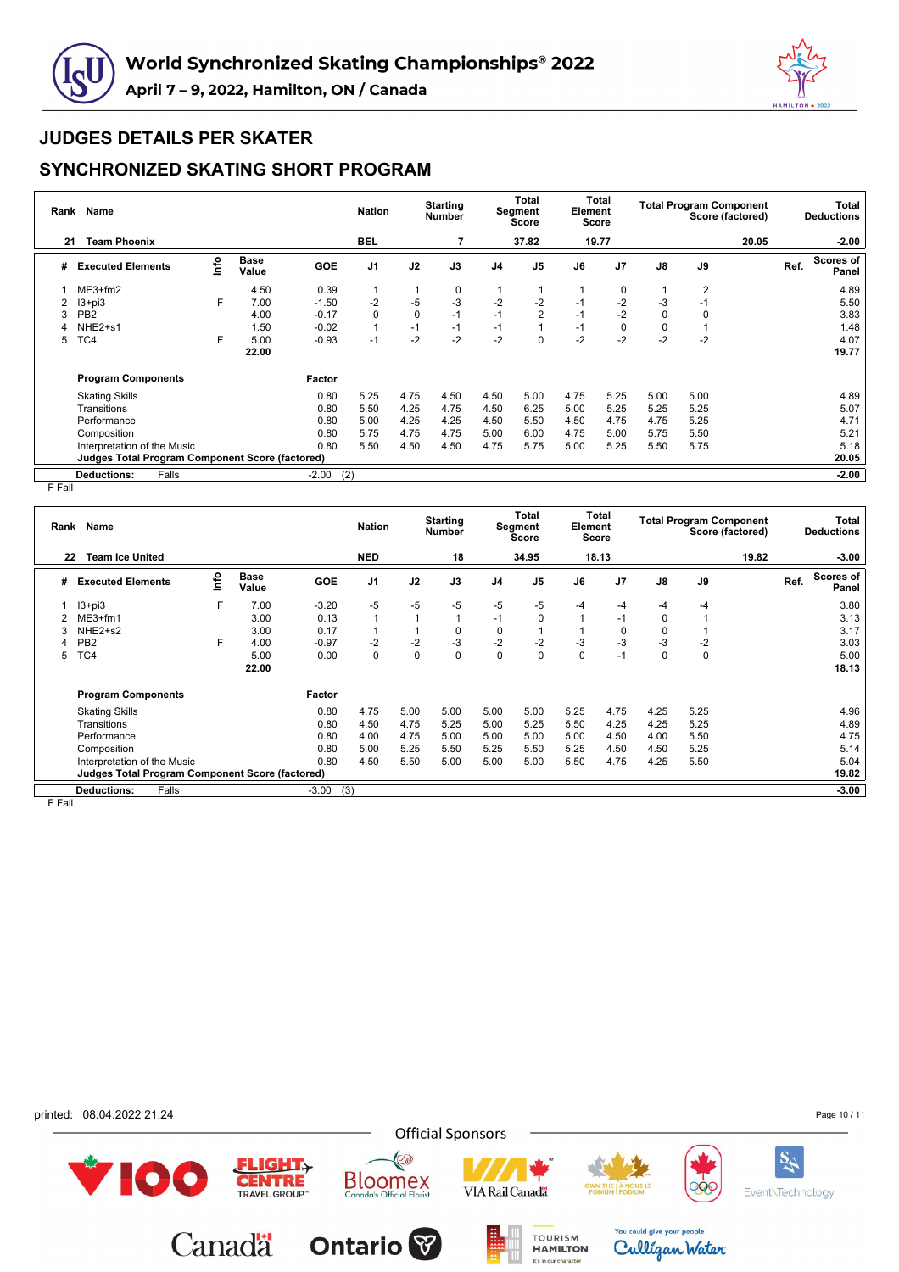



### **SYNCHRONIZED SKATING SHORT PROGRAM**

| Rank | <b>Name</b>                                     |      |                      |            | <b>Nation</b>  |             | <b>Starting</b><br><b>Number</b> |                | Total<br>Segment<br><b>Score</b> | Element | Total<br>Score |             | <b>Total Program Component</b><br>Score (factored) |       |      | Total<br><b>Deductions</b> |
|------|-------------------------------------------------|------|----------------------|------------|----------------|-------------|----------------------------------|----------------|----------------------------------|---------|----------------|-------------|----------------------------------------------------|-------|------|----------------------------|
| 21   | <b>Team Phoenix</b>                             |      |                      |            | <b>BEL</b>     |             |                                  |                | 37.82                            |         | 19.77          |             |                                                    | 20.05 |      | $-2.00$                    |
| #    | <b>Executed Elements</b>                        | Info | <b>Base</b><br>Value | <b>GOE</b> | J <sub>1</sub> | J2          | J3                               | J <sub>4</sub> | J <sub>5</sub>                   | J6      | J <sub>7</sub> | J8          | J9                                                 |       | Ref. | Scores of<br>Panel         |
|      | $ME3+fm2$                                       |      | 4.50                 | 0.39       | 1              |             | 0                                |                |                                  |         | 0              |             | 2                                                  |       |      | 4.89                       |
|      | $13 + pi3$                                      | F    | 7.00                 | $-1.50$    | $-2$           | -5          | $-3$                             | $-2$           | $-2$                             | $-1$    | $-2$           | -3          | $-1$                                               |       |      | 5.50                       |
| 3    | PB <sub>2</sub>                                 |      | 4.00                 | $-0.17$    | 0              | $\mathbf 0$ | $-1$                             | $-1$           | $\overline{2}$                   | $-1$    | $-2$           | $\mathbf 0$ | 0                                                  |       |      | 3.83                       |
|      | NHE <sub>2+s1</sub>                             |      | 1.50                 | $-0.02$    | 1              | $-1$        | $-1$                             | $-1$           |                                  | $-1$    | 0              | $\mathbf 0$ |                                                    |       |      | 1.48                       |
| 5    | TC4                                             | F    | 5.00                 | $-0.93$    | $-1$           | $-2$        | $-2$                             | $-2$           | $\Omega$                         | $-2$    | $-2$           | $-2$        | $-2$                                               |       |      | 4.07                       |
|      |                                                 |      | 22.00                |            |                |             |                                  |                |                                  |         |                |             |                                                    |       |      | 19.77                      |
|      | <b>Program Components</b>                       |      |                      | Factor     |                |             |                                  |                |                                  |         |                |             |                                                    |       |      |                            |
|      | <b>Skating Skills</b>                           |      |                      | 0.80       | 5.25           | 4.75        | 4.50                             | 4.50           | 5.00                             | 4.75    | 5.25           | 5.00        | 5.00                                               |       |      | 4.89                       |
|      | Transitions                                     |      |                      | 0.80       | 5.50           | 4.25        | 4.75                             | 4.50           | 6.25                             | 5.00    | 5.25           | 5.25        | 5.25                                               |       |      | 5.07                       |
|      | Performance                                     |      |                      | 0.80       | 5.00           | 4.25        | 4.25                             | 4.50           | 5.50                             | 4.50    | 4.75           | 4.75        | 5.25                                               |       |      | 4.71                       |
|      | Composition                                     |      |                      | 0.80       | 5.75           | 4.75        | 4.75                             | 5.00           | 6.00                             | 4.75    | 5.00           | 5.75        | 5.50                                               |       |      | 5.21                       |
|      | Interpretation of the Music                     |      |                      | 0.80       | 5.50           | 4.50        | 4.50                             | 4.75           | 5.75                             | 5.00    | 5.25           | 5.50        | 5.75                                               |       |      | 5.18                       |
|      | Judges Total Program Component Score (factored) |      |                      |            |                |             |                                  |                |                                  |         |                |             |                                                    |       |      | 20.05                      |
|      | Falls<br><b>Deductions:</b>                     |      |                      | $-2.00$    | (2)            |             |                                  |                |                                  |         |                |             |                                                    |       |      | $-2.00$                    |

F Fall

| Rank   | Name                                                   |      |                      |            | <b>Nation</b>  |                | <b>Starting</b><br><b>Number</b> |                | Total<br>Segment<br>Score | Element | Total<br><b>Score</b> |             | <b>Total Program Component</b><br>Score (factored) |      | Total<br><b>Deductions</b> |
|--------|--------------------------------------------------------|------|----------------------|------------|----------------|----------------|----------------------------------|----------------|---------------------------|---------|-----------------------|-------------|----------------------------------------------------|------|----------------------------|
| 22     | <b>Team Ice United</b>                                 |      |                      |            | <b>NED</b>     |                | 18                               |                | 34.95                     |         | 18.13                 |             | 19.82                                              |      | $-3.00$                    |
| #      | <b>Executed Elements</b>                               | ١nf٥ | <b>Base</b><br>Value | <b>GOE</b> | J <sub>1</sub> | J2             | J3                               | J <sub>4</sub> | J <sub>5</sub>            | J6      | J <sub>7</sub>        | J8          | J9                                                 | Ref. | Scores of<br>Panel         |
|        | $13 + pi3$                                             | F    | 7.00                 | $-3.20$    | $-5$           | $-5$           | $-5$                             | -5             | -5                        | -4      | $-4$                  | -4          | -4                                                 |      | 3.80                       |
|        | $ME3+fm1$                                              |      | 3.00                 | 0.13       | $\overline{1}$ | $\overline{ }$ | 1                                | -1             | 0                         |         | $-1$                  | 0           |                                                    |      | 3.13                       |
| 3      | NHE <sub>2+s2</sub>                                    |      | 3.00                 | 0.17       |                |                | 0                                | 0              |                           |         | 0                     | 0           |                                                    |      | 3.17                       |
|        | PB <sub>2</sub>                                        | F.   | 4.00                 | $-0.97$    | $-2$           | $-2$           | $-3$                             | $-2$           | $-2$                      | $-3$    | $-3$                  | $-3$        | -2                                                 |      | 3.03                       |
| 5      | TC4                                                    |      | 5.00                 | 0.00       | 0              | $\mathbf 0$    | $\mathbf 0$                      | 0              | 0                         | 0       | $-1$                  | $\mathbf 0$ | $\mathbf 0$                                        |      | 5.00                       |
|        |                                                        |      | 22.00                |            |                |                |                                  |                |                           |         |                       |             |                                                    |      | 18.13                      |
|        | <b>Program Components</b>                              |      |                      | Factor     |                |                |                                  |                |                           |         |                       |             |                                                    |      |                            |
|        | <b>Skating Skills</b>                                  |      |                      | 0.80       | 4.75           | 5.00           | 5.00                             | 5.00           | 5.00                      | 5.25    | 4.75                  | 4.25        | 5.25                                               |      | 4.96                       |
|        | Transitions                                            |      |                      | 0.80       | 4.50           | 4.75           | 5.25                             | 5.00           | 5.25                      | 5.50    | 4.25                  | 4.25        | 5.25                                               |      | 4.89                       |
|        | Performance                                            |      |                      | 0.80       | 4.00           | 4.75           | 5.00                             | 5.00           | 5.00                      | 5.00    | 4.50                  | 4.00        | 5.50                                               |      | 4.75                       |
|        | Composition                                            |      |                      | 0.80       | 5.00           | 5.25           | 5.50                             | 5.25           | 5.50                      | 5.25    | 4.50                  | 4.50        | 5.25                                               |      | 5.14                       |
|        | Interpretation of the Music                            |      |                      | 0.80       | 4.50           | 5.50           | 5.00                             | 5.00           | 5.00                      | 5.50    | 4.75                  | 4.25        | 5.50                                               |      | 5.04                       |
|        | <b>Judges Total Program Component Score (factored)</b> |      |                      |            |                |                |                                  |                |                           |         |                       |             |                                                    |      | 19.82                      |
|        | Falls<br><b>Deductions:</b>                            |      |                      | $-3.00$    | (3)            |                |                                  |                |                           |         |                       |             |                                                    |      | $-3.00$                    |
| E Eall |                                                        |      |                      |            |                |                |                                  |                |                           |         |                       |             |                                                    |      |                            |

F Fall

printed: 08.04.2022 21:24

Page 10 / 11